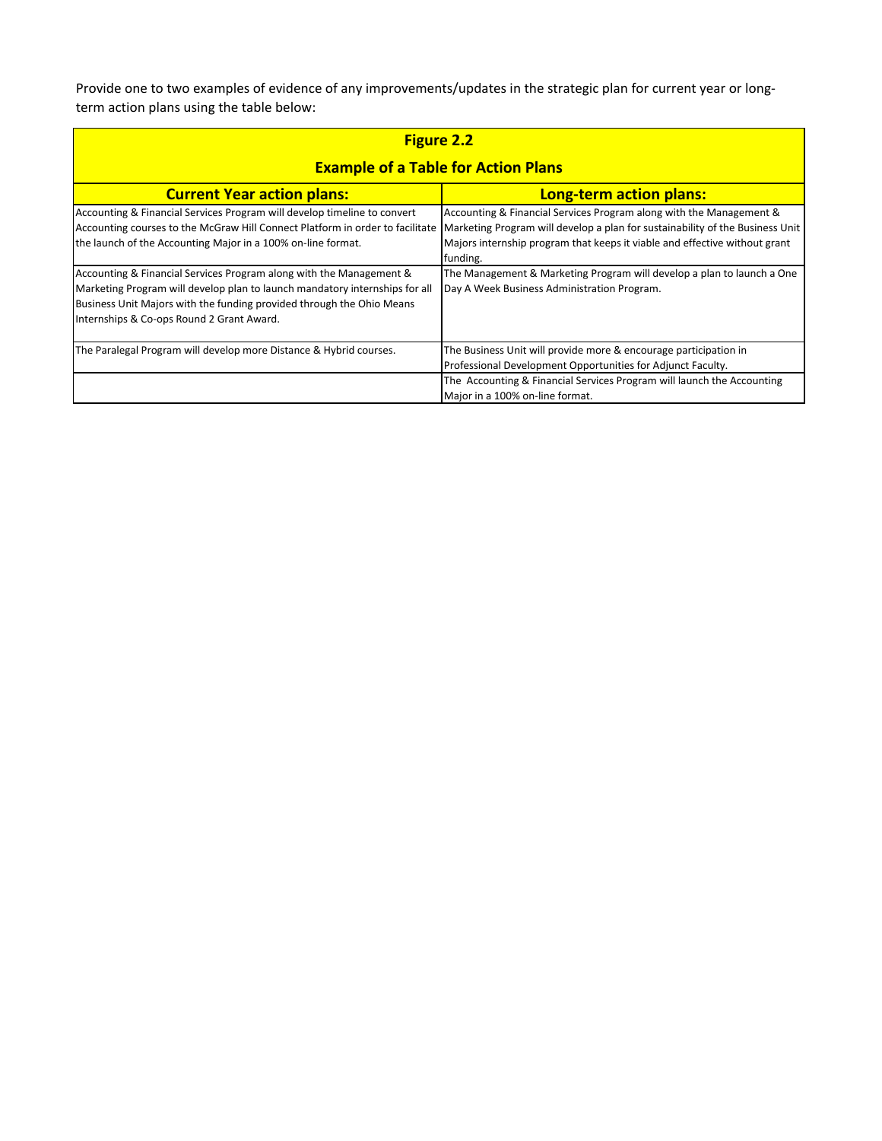Provide one to two examples of evidence of any improvements/updates in the strategic plan for current year or longterm action plans using the table below:

|                                                                               | <b>Figure 2.2</b>                                                             |  |  |  |  |  |
|-------------------------------------------------------------------------------|-------------------------------------------------------------------------------|--|--|--|--|--|
| <b>Example of a Table for Action Plans</b>                                    |                                                                               |  |  |  |  |  |
| <b>Current Year action plans:</b>                                             | <b>Long-term action plans:</b>                                                |  |  |  |  |  |
| Accounting & Financial Services Program will develop timeline to convert      | Accounting & Financial Services Program along with the Management &           |  |  |  |  |  |
| Accounting courses to the McGraw Hill Connect Platform in order to facilitate | Marketing Program will develop a plan for sustainability of the Business Unit |  |  |  |  |  |
| the launch of the Accounting Major in a 100% on-line format.                  | Majors internship program that keeps it viable and effective without grant    |  |  |  |  |  |
|                                                                               | funding.                                                                      |  |  |  |  |  |
| Accounting & Financial Services Program along with the Management &           | The Management & Marketing Program will develop a plan to launch a One        |  |  |  |  |  |
| Marketing Program will develop plan to launch mandatory internships for all   | Day A Week Business Administration Program.                                   |  |  |  |  |  |
| Business Unit Majors with the funding provided through the Ohio Means         |                                                                               |  |  |  |  |  |
| Internships & Co-ops Round 2 Grant Award.                                     |                                                                               |  |  |  |  |  |
| The Paralegal Program will develop more Distance & Hybrid courses.            | The Business Unit will provide more & encourage participation in              |  |  |  |  |  |
|                                                                               | Professional Development Opportunities for Adjunct Faculty.                   |  |  |  |  |  |
|                                                                               | The Accounting & Financial Services Program will launch the Accounting        |  |  |  |  |  |
|                                                                               | Major in a 100% on-line format.                                               |  |  |  |  |  |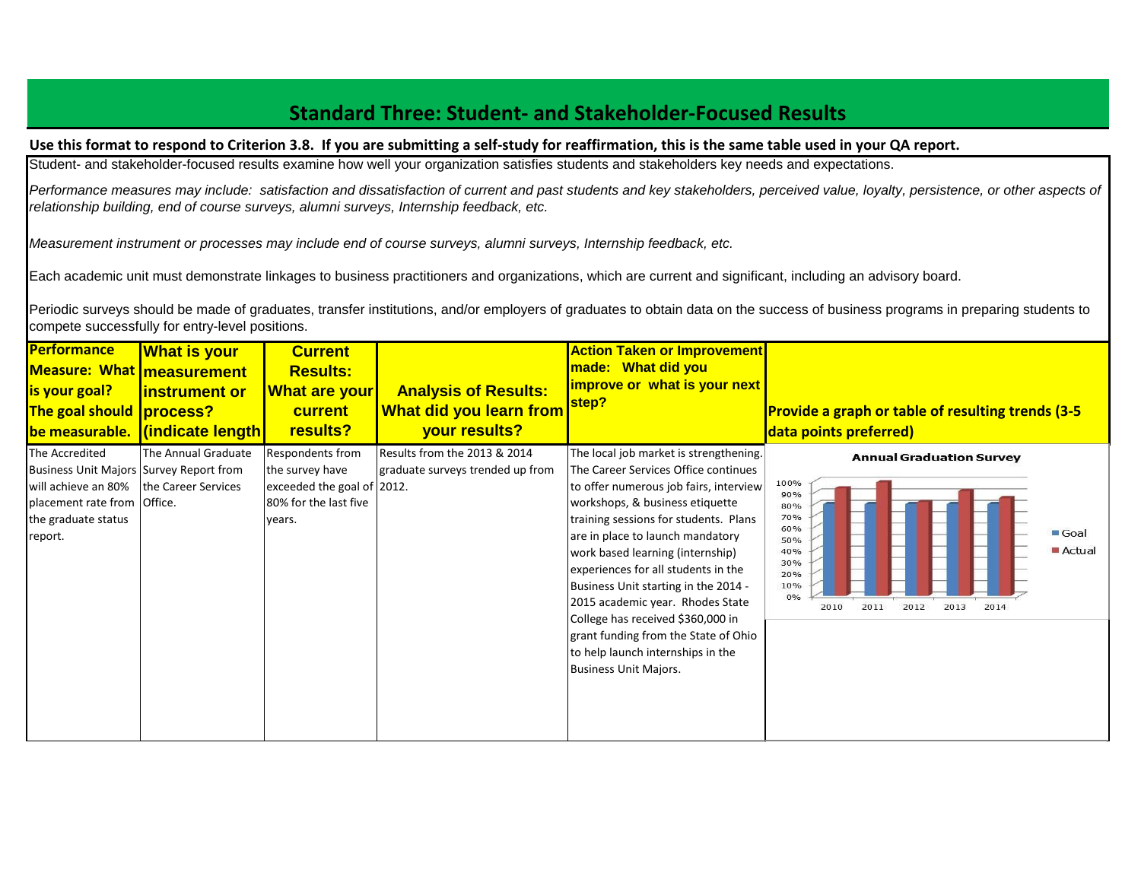# **Standard Three: Student- and Stakeholder-Focused Results**

#### **Use this format to respond to Criterion 3.8. If you are submitting a self-study for reaffirmation, this is the same table used in your QA report.**

Student- and stakeholder-focused results examine how well your organization satisfies students and stakeholders key needs and expectations.

Performance measures may include: satisfaction and dissatisfaction of current and past students and key stakeholders, perceived value, loyalty, persistence, or other aspects of *relationship building, end of course surveys, alumni surveys, Internship feedback, etc.*

*Measurement instrument or processes may include end of course surveys, alumni surveys, Internship feedback, etc.*

Each academic unit must demonstrate linkages to business practitioners and organizations, which are current and significant, including an advisory board.

Periodic surveys should be made of graduates, transfer institutions, and/or employers of graduates to obtain data on the success of business programs in preparing students to compete successfully for entry-level positions.

| <b>Performance</b><br><b>Measure: What measurement</b><br><b>is your goal?</b><br>The goal should process?                                                              | <b>What is your</b><br><b>linstrument or</b><br>be measurable. (indicate length) | <b>Current</b><br><b>Results:</b><br><b>What are your</b><br><b>current</b><br>results?              | <b>Analysis of Results:</b><br><b>What did you learn from</b><br>your results? | <b>Action Taken or Improvement</b><br>made: What did you<br>improve or what is your next<br>step?                                                                                                                                                                                                                                                                                                                                                                                                                                                 | <b>Provide a graph or table of resulting trends (3-5</b><br>data points preferred)                                                                                                    |
|-------------------------------------------------------------------------------------------------------------------------------------------------------------------------|----------------------------------------------------------------------------------|------------------------------------------------------------------------------------------------------|--------------------------------------------------------------------------------|---------------------------------------------------------------------------------------------------------------------------------------------------------------------------------------------------------------------------------------------------------------------------------------------------------------------------------------------------------------------------------------------------------------------------------------------------------------------------------------------------------------------------------------------------|---------------------------------------------------------------------------------------------------------------------------------------------------------------------------------------|
| The Accredited<br>Business Unit Majors Survey Report from<br>will achieve an 80%   the Career Services<br>placement rate from Office.<br>the graduate status<br>report. | The Annual Graduate                                                              | Respondents from<br>the survey have<br>exceeded the goal of 2012.<br>80% for the last five<br>years. | Results from the 2013 & 2014<br>graduate surveys trended up from               | The local job market is strengthening.<br>The Career Services Office continues<br>to offer numerous job fairs, interview<br>workshops, & business etiquette<br>training sessions for students. Plans<br>are in place to launch mandatory<br>work based learning (internship)<br>experiences for all students in the<br>Business Unit starting in the 2014 -<br>2015 academic year. Rhodes State<br>College has received \$360,000 in<br>grant funding from the State of Ohio<br>to help launch internships in the<br><b>Business Unit Majors.</b> | <b>Annual Graduation Survey</b><br>100%<br>90%<br>80%<br>70%<br>60%<br>$\blacksquare$ Goal<br>50%<br>Actual<br>40%<br>30%<br>20%<br>10%<br>0%<br>2011<br>2010<br>2012<br>2013<br>2014 |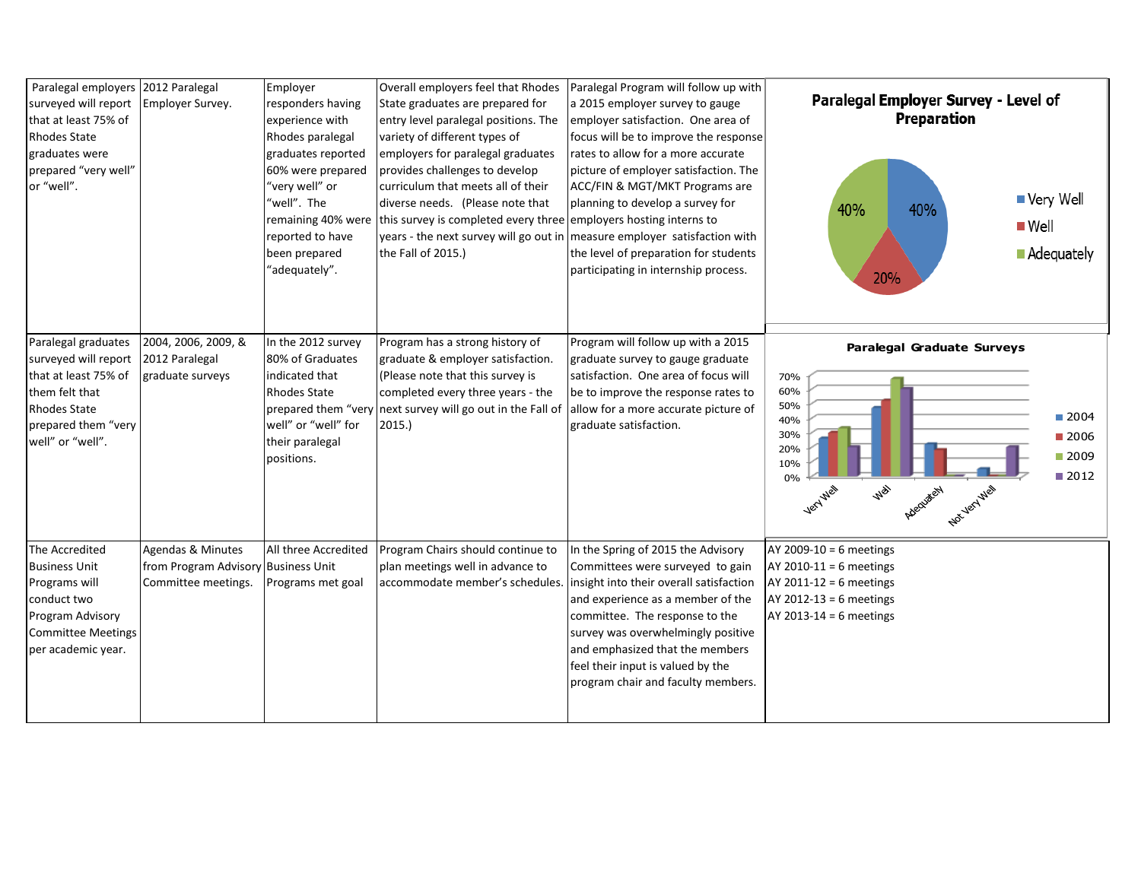| Paralegal employers<br>surveyed will report<br>that at least 75% of<br><b>Rhodes State</b><br>graduates were<br>prepared "very well"<br>or "well".      | 2012 Paralegal<br>Employer Survey.                                              | Employer<br>responders having<br>experience with<br>Rhodes paralegal<br>graduates reported<br>60% were prepared<br>'very well" or<br>'well". The<br>remaining 40% were<br>reported to have<br>been prepared<br>'adequately". | Overall employers feel that Rhodes<br>State graduates are prepared for<br>entry level paralegal positions. The<br>variety of different types of<br>employers for paralegal graduates<br>provides challenges to develop<br>curriculum that meets all of their<br>diverse needs. (Please note that<br>this survey is completed every three employers hosting interns to<br>the Fall of 2015.) | Paralegal Program will follow up with<br>a 2015 employer survey to gauge<br>employer satisfaction. One area of<br>focus will be to improve the response<br>rates to allow for a more accurate<br>picture of employer satisfaction. The<br>ACC/FIN & MGT/MKT Programs are<br>planning to develop a survey for<br>years - the next survey will go out in measure employer satisfaction with<br>the level of preparation for students<br>participating in internship process. | Paralegal Employer Survey - Level of<br>Preparation<br>■ Very Well<br>40%<br>40%<br>$\blacksquare$ Well<br><b>Adequately</b><br>20%                                                         |
|---------------------------------------------------------------------------------------------------------------------------------------------------------|---------------------------------------------------------------------------------|------------------------------------------------------------------------------------------------------------------------------------------------------------------------------------------------------------------------------|---------------------------------------------------------------------------------------------------------------------------------------------------------------------------------------------------------------------------------------------------------------------------------------------------------------------------------------------------------------------------------------------|----------------------------------------------------------------------------------------------------------------------------------------------------------------------------------------------------------------------------------------------------------------------------------------------------------------------------------------------------------------------------------------------------------------------------------------------------------------------------|---------------------------------------------------------------------------------------------------------------------------------------------------------------------------------------------|
| Paralegal graduates<br>surveyed will report<br>that at least 75% of<br>them felt that<br><b>Rhodes State</b><br>prepared them "very<br>well" or "well". | 2004, 2006, 2009, &<br>2012 Paralegal<br>graduate surveys                       | In the 2012 survey<br>80% of Graduates<br>indicated that<br><b>Rhodes State</b><br>prepared them "very<br>well" or "well" for<br>their paralegal<br>positions.                                                               | Program has a strong history of<br>graduate & employer satisfaction.<br>(Please note that this survey is<br>completed every three years - the<br>next survey will go out in the Fall of<br>2015.                                                                                                                                                                                            | Program will follow up with a 2015<br>graduate survey to gauge graduate<br>satisfaction. One area of focus will<br>be to improve the response rates to<br>allow for a more accurate picture of<br>graduate satisfaction.                                                                                                                                                                                                                                                   | <b>Paralegal Graduate Surveys</b><br>70%<br>60%<br>50%<br>■ 2004<br>40%<br>30%<br>■ 2006<br>20%<br>■ 2009<br>10%<br>■ 2012<br>0%<br><b>Well</b><br>Very Well<br>Adequately<br>Not yerl well |
| The Accredited<br><b>Business Unit</b><br>Programs will<br>conduct two<br>Program Advisory<br><b>Committee Meetings</b><br>per academic year.           | Agendas & Minutes<br>from Program Advisory Business Unit<br>Committee meetings. | All three Accredited<br>Programs met goal                                                                                                                                                                                    | Program Chairs should continue to<br>plan meetings well in advance to<br>accommodate member's schedules.                                                                                                                                                                                                                                                                                    | In the Spring of 2015 the Advisory<br>Committees were surveyed to gain<br>insight into their overall satisfaction<br>and experience as a member of the<br>committee. The response to the<br>survey was overwhelmingly positive<br>and emphasized that the members<br>feel their input is valued by the<br>program chair and faculty members.                                                                                                                               | $AY 2009-10 = 6$ meetings<br>AY 2010-11 = 6 meetings<br>$AY 2011-12 = 6$ meetings<br>$AY 2012-13 = 6$ meetings<br>$AY$ 2013-14 = 6 meetings                                                 |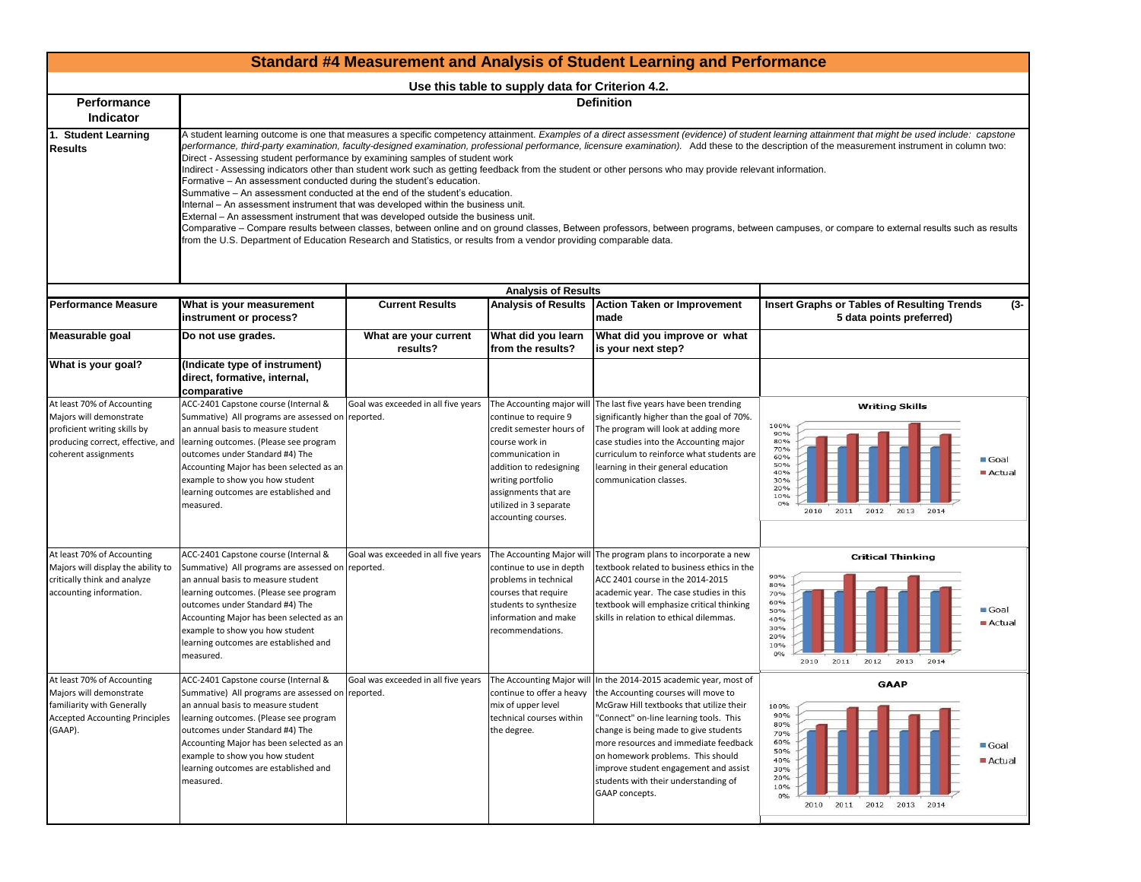|                                                                                                                                                    |                                                                                                                                                                                                                                                                                                                                                                                                                                                                                                                                 |                                     |                                                                                                                                                                                                                                               | <b>Standard #4 Measurement and Analysis of Student Learning and Performance</b>                                                                                                                                                                                                                                                                                                                                                                    |                                                                                                                                                                                                                                                                                                                                                                                                                                                                                                                                                                                                    |
|----------------------------------------------------------------------------------------------------------------------------------------------------|---------------------------------------------------------------------------------------------------------------------------------------------------------------------------------------------------------------------------------------------------------------------------------------------------------------------------------------------------------------------------------------------------------------------------------------------------------------------------------------------------------------------------------|-------------------------------------|-----------------------------------------------------------------------------------------------------------------------------------------------------------------------------------------------------------------------------------------------|----------------------------------------------------------------------------------------------------------------------------------------------------------------------------------------------------------------------------------------------------------------------------------------------------------------------------------------------------------------------------------------------------------------------------------------------------|----------------------------------------------------------------------------------------------------------------------------------------------------------------------------------------------------------------------------------------------------------------------------------------------------------------------------------------------------------------------------------------------------------------------------------------------------------------------------------------------------------------------------------------------------------------------------------------------------|
|                                                                                                                                                    |                                                                                                                                                                                                                                                                                                                                                                                                                                                                                                                                 |                                     | Use this table to supply data for Criterion 4.2.                                                                                                                                                                                              |                                                                                                                                                                                                                                                                                                                                                                                                                                                    |                                                                                                                                                                                                                                                                                                                                                                                                                                                                                                                                                                                                    |
| <b>Performance</b><br><b>Indicator</b>                                                                                                             |                                                                                                                                                                                                                                                                                                                                                                                                                                                                                                                                 |                                     |                                                                                                                                                                                                                                               | <b>Definition</b>                                                                                                                                                                                                                                                                                                                                                                                                                                  |                                                                                                                                                                                                                                                                                                                                                                                                                                                                                                                                                                                                    |
| 1. Student Learning<br><b>Results</b>                                                                                                              | Direct - Assessing student performance by examining samples of student work<br>Formative - An assessment conducted during the student's education.<br>Summative – An assessment conducted at the end of the student's education.<br>Internal – An assessment instrument that was developed within the business unit.<br>External – An assessment instrument that was developed outside the business unit.<br>from the U.S. Department of Education Research and Statistics, or results from a vendor providing comparable data. |                                     |                                                                                                                                                                                                                                               | Indirect - Assessing indicators other than student work such as getting feedback from the student or other persons who may provide relevant information.                                                                                                                                                                                                                                                                                           | A student learning outcome is one that measures a specific competency attainment. Examples of a direct assessment (evidence) of student learning attainment that might be used include: capstone<br>performance, third-party examination, faculty-designed examination, professional performance, licensure examination). Add these to the description of the measurement instrument in column two:<br>Comparative – Compare results between classes, between online and on ground classes, Between professors, between programs, between campuses, or compare to external results such as results |
|                                                                                                                                                    |                                                                                                                                                                                                                                                                                                                                                                                                                                                                                                                                 |                                     | <b>Analysis of Results</b>                                                                                                                                                                                                                    |                                                                                                                                                                                                                                                                                                                                                                                                                                                    |                                                                                                                                                                                                                                                                                                                                                                                                                                                                                                                                                                                                    |
| <b>Performance Measure</b>                                                                                                                         | What is your measurement<br>instrument or process?                                                                                                                                                                                                                                                                                                                                                                                                                                                                              | <b>Current Results</b>              | <b>Analysis of Results</b>                                                                                                                                                                                                                    | <b>Action Taken or Improvement</b><br>made                                                                                                                                                                                                                                                                                                                                                                                                         | $(3 -$<br><b>Insert Graphs or Tables of Resulting Trends</b><br>5 data points preferred)                                                                                                                                                                                                                                                                                                                                                                                                                                                                                                           |
| Measurable goal                                                                                                                                    | Do not use grades.                                                                                                                                                                                                                                                                                                                                                                                                                                                                                                              | What are your current<br>results?   | What did you learn<br>from the results?                                                                                                                                                                                                       | What did you improve or what<br>is your next step?                                                                                                                                                                                                                                                                                                                                                                                                 |                                                                                                                                                                                                                                                                                                                                                                                                                                                                                                                                                                                                    |
| What is your goal?                                                                                                                                 | (Indicate type of instrument)<br>direct, formative, internal,<br>comparative                                                                                                                                                                                                                                                                                                                                                                                                                                                    |                                     |                                                                                                                                                                                                                                               |                                                                                                                                                                                                                                                                                                                                                                                                                                                    |                                                                                                                                                                                                                                                                                                                                                                                                                                                                                                                                                                                                    |
| At least 70% of Accounting<br>Majors will demonstrate<br>proficient writing skills by<br>producing correct, effective, and<br>coherent assignments | ACC-2401 Capstone course (Internal &<br>Summative) All programs are assessed on reported.<br>an annual basis to measure student<br>learning outcomes. (Please see program<br>outcomes under Standard #4) The<br>Accounting Major has been selected as an<br>example to show you how student<br>learning outcomes are established and<br>measured.                                                                                                                                                                               | Goal was exceeded in all five years | The Accounting major will<br>continue to require 9<br>credit semester hours of<br>course work in<br>communication in<br>addition to redesigning<br>writing portfolio<br>assignments that are<br>utilized in 3 separate<br>accounting courses. | The last five years have been trending<br>significantly higher than the goal of 70%.<br>The program will look at adding more<br>case studies into the Accounting major<br>curriculum to reinforce what students are<br>learning in their general education<br>communication classes.                                                                                                                                                               | <b>Writing Skills</b><br>100%<br>90%<br>80%<br>70%<br>60%<br>Goal<br>50%<br>Actual<br>40%<br>30%<br>20%<br>10%<br>0%<br>2011<br>2012<br>2010<br>2013<br>2014                                                                                                                                                                                                                                                                                                                                                                                                                                       |
| At least 70% of Accounting<br>Majors will display the ability to<br>critically think and analyze<br>accounting information.                        | ACC-2401 Capstone course (Internal &<br>Summative) All programs are assessed on reported.<br>an annual basis to measure student<br>learning outcomes. (Please see program<br>outcomes under Standard #4) The<br>Accounting Major has been selected as an<br>example to show you how student<br>learning outcomes are established and<br>measured.                                                                                                                                                                               | Goal was exceeded in all five years | The Accounting Major wil<br>continue to use in depth<br>problems in technical<br>courses that require<br>students to synthesize<br>information and make<br>recommendations.                                                                   | The program plans to incorporate a new<br>textbook related to business ethics in the<br>ACC 2401 course in the 2014-2015<br>academic year. The case studies in this<br>textbook will emphasize critical thinking<br>skills in relation to ethical dilemmas.                                                                                                                                                                                        | <b>Critical Thinking</b><br>90%<br>80%<br>70%<br>60%<br>$\blacksquare$ Goal<br>50%<br>40%<br>Actual<br>30%<br>20%<br>10%<br>0%<br>2011<br>2013<br>2014<br>2010<br>2012                                                                                                                                                                                                                                                                                                                                                                                                                             |
| At least 70% of Accounting<br>Maiors will demonstrate<br>familiarity with Generally<br><b>Accepted Accounting Principles</b><br>(GAAP).            | ACC-2401 Capstone course (Internal &<br>Summative) All programs are assessed on reported.<br>an annual basis to measure student<br>learning outcomes. (Please see program<br>outcomes under Standard #4) The<br>Accounting Major has been selected as an<br>example to show you how student<br>learning outcomes are established and<br>measured.                                                                                                                                                                               | Goal was exceeded in all five years | mix of upper level<br>technical courses within<br>the degree.                                                                                                                                                                                 | The Accounting Major will In the 2014-2015 academic year, most of<br>continue to offer a heavy the Accounting courses will move to<br>McGraw Hill textbooks that utilize their<br>"Connect" on-line learning tools. This<br>change is being made to give students<br>more resources and immediate feedback<br>on homework problems. This should<br>improve student engagement and assist<br>students with their understanding of<br>GAAP concepts. | <b>GAAP</b><br>100%<br>90%<br>80%<br>70%<br>60%<br>Goal<br>50%<br>Actual<br>40%<br>30%<br>20%<br>10%<br>0%<br>2011<br>2012<br>2013 2014<br>2010                                                                                                                                                                                                                                                                                                                                                                                                                                                    |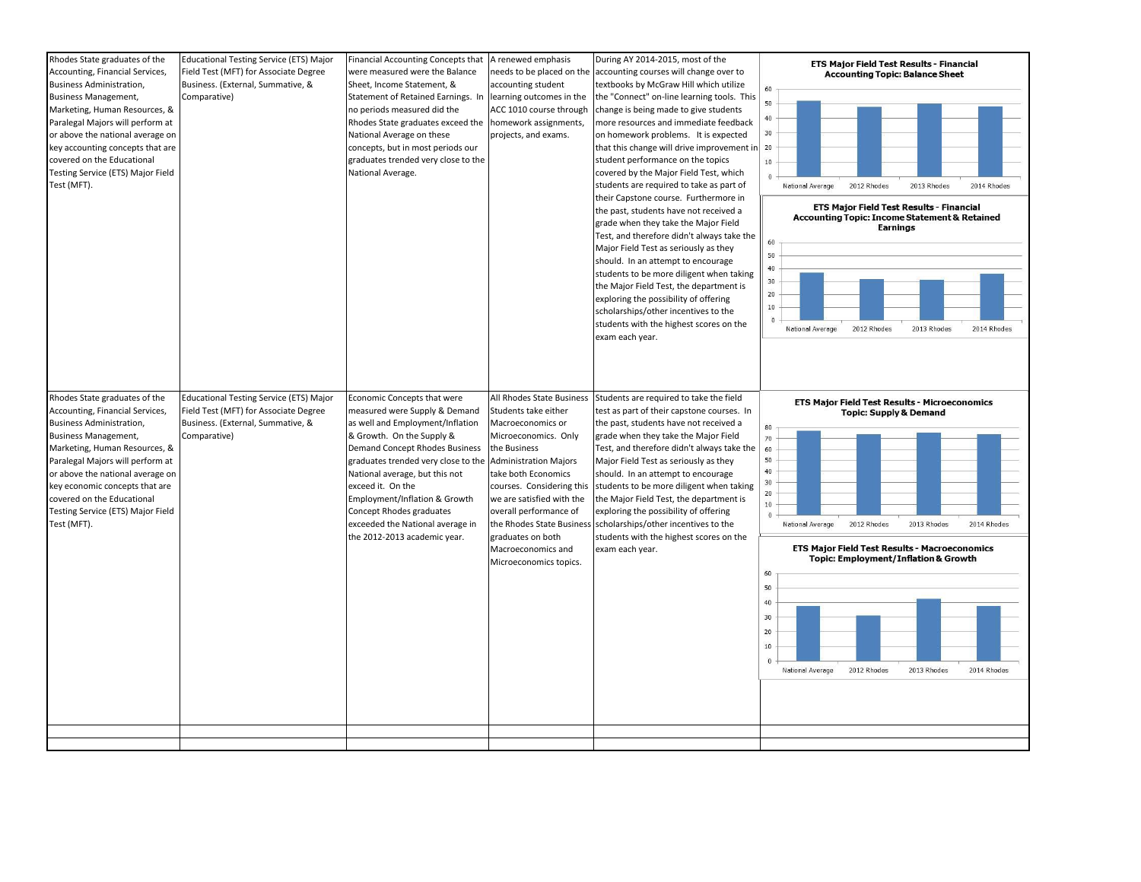| Rhodes State graduates of the<br>Accounting, Financial Services,<br>Business Administration,<br><b>Business Management,</b><br>Marketing, Human Resources, &<br>Paralegal Majors will perform at<br>or above the national average on<br>key accounting concepts that are<br>covered on the Educational<br>Testing Service (ETS) Major Field<br>Test (MFT). | <b>Educational Testing Service (ETS) Major</b><br>Field Test (MFT) for Associate Degree<br>Business. (External, Summative, &<br>Comparative) | Financial Accounting Concepts that<br>were measured were the Balance<br>Sheet, Income Statement, &<br>Statement of Retained Earnings. In<br>no periods measured did the<br>Rhodes State graduates exceed the<br>National Average on these<br>concepts, but in most periods our<br>graduates trended very close to the<br>National Average.                                                            | A renewed emphasis<br>needs to be placed on the<br>accounting student<br>learning outcomes in the<br>ACC 1010 course through<br>homework assignments,<br>projects, and exams.                                                                                                                                                                               | During AY 2014-2015, most of the<br>accounting courses will change over to<br>textbooks by McGraw Hill which utilize<br>the "Connect" on-line learning tools. This<br>change is being made to give students<br>more resources and immediate feedback<br>on homework problems. It is expected<br>that this change will drive improvement in 20<br>student performance on the topics<br>covered by the Major Field Test, which<br>students are required to take as part of<br>their Capstone course. Furthermore in<br>the past, students have not received a<br>grade when they take the Major Field<br>Test, and therefore didn't always take the<br>Major Field Test as seriously as they<br>should. In an attempt to encourage<br>students to be more diligent when taking<br>the Major Field Test, the department is<br>exploring the possibility of offering<br>scholarships/other incentives to the<br>students with the highest scores on the<br>exam each year. | ETS Major Field Test Results - Financial<br><b>Accounting Topic: Balance Sheet</b><br>60<br>50<br>40<br>30 <sub>2</sub><br>10<br>$\Omega$<br>2012 Rhodes<br>2013 Rhodes<br>2014 Rhodes<br>National Average<br>ETS Major Field Test Results - Financial<br>Accounting Topic: Income Statement & Retained<br>Earnings<br>60<br>50<br>40<br>30<br>20<br>$10\,$<br>$\overline{0}$<br>National Average<br>2012 Rhodes<br>2013 Rhodes<br>2014 Rhodes |
|------------------------------------------------------------------------------------------------------------------------------------------------------------------------------------------------------------------------------------------------------------------------------------------------------------------------------------------------------------|----------------------------------------------------------------------------------------------------------------------------------------------|-------------------------------------------------------------------------------------------------------------------------------------------------------------------------------------------------------------------------------------------------------------------------------------------------------------------------------------------------------------------------------------------------------|-------------------------------------------------------------------------------------------------------------------------------------------------------------------------------------------------------------------------------------------------------------------------------------------------------------------------------------------------------------|------------------------------------------------------------------------------------------------------------------------------------------------------------------------------------------------------------------------------------------------------------------------------------------------------------------------------------------------------------------------------------------------------------------------------------------------------------------------------------------------------------------------------------------------------------------------------------------------------------------------------------------------------------------------------------------------------------------------------------------------------------------------------------------------------------------------------------------------------------------------------------------------------------------------------------------------------------------------|------------------------------------------------------------------------------------------------------------------------------------------------------------------------------------------------------------------------------------------------------------------------------------------------------------------------------------------------------------------------------------------------------------------------------------------------|
| Rhodes State graduates of the<br>Accounting, Financial Services,<br>Business Administration,<br><b>Business Management,</b><br>Marketing, Human Resources, &<br>Paralegal Majors will perform at<br>or above the national average on<br>key economic concepts that are<br>covered on the Educational<br>Testing Service (ETS) Major Field<br>Test (MFT).   | <b>Educational Testing Service (ETS) Major</b><br>Field Test (MFT) for Associate Degree<br>Business. (External, Summative, &<br>Comparative) | Economic Concepts that were<br>measured were Supply & Demand<br>as well and Employment/Inflation<br>& Growth. On the Supply &<br><b>Demand Concept Rhodes Business</b><br>graduates trended very close to the<br>National average, but this not<br>exceed it. On the<br>Employment/Inflation & Growth<br>Concept Rhodes graduates<br>exceeded the National average in<br>the 2012-2013 academic year. | All Rhodes State Business<br>Students take either<br>Macroeconomics or<br>Microeconomics. Only<br>the Business<br><b>Administration Majors</b><br>take both Economics<br>courses. Considering this<br>we are satisfied with the<br>overall performance of<br>the Rhodes State Business<br>graduates on both<br>Macroeconomics and<br>Microeconomics topics. | Students are required to take the field<br>test as part of their capstone courses. In<br>the past, students have not received a<br>grade when they take the Major Field<br>Test, and therefore didn't always take the<br>Major Field Test as seriously as they<br>should. In an attempt to encourage<br>students to be more diligent when taking<br>the Major Field Test, the department is<br>exploring the possibility of offering<br>scholarships/other incentives to the<br>students with the highest scores on the<br>exam each year.                                                                                                                                                                                                                                                                                                                                                                                                                             | ETS Major Field Test Results - Microeconomics<br><b>Topic: Supply &amp; Demand</b><br>80<br>70<br>60<br>50<br>40<br>30<br>20<br>10 <sup>°</sup><br>$\theta$<br>2012 Rhodes<br>2013 Rhodes<br>2014 Rhodes<br>National Average<br>ETS Major Field Test Results - Macroeconomics<br>Topic: Employment/Inflation & Growth<br>60<br>50<br>40<br>30<br>20<br>10<br>2012 Rhodes<br>2013 Rhodes<br>2014 Rhodes<br>National Average                     |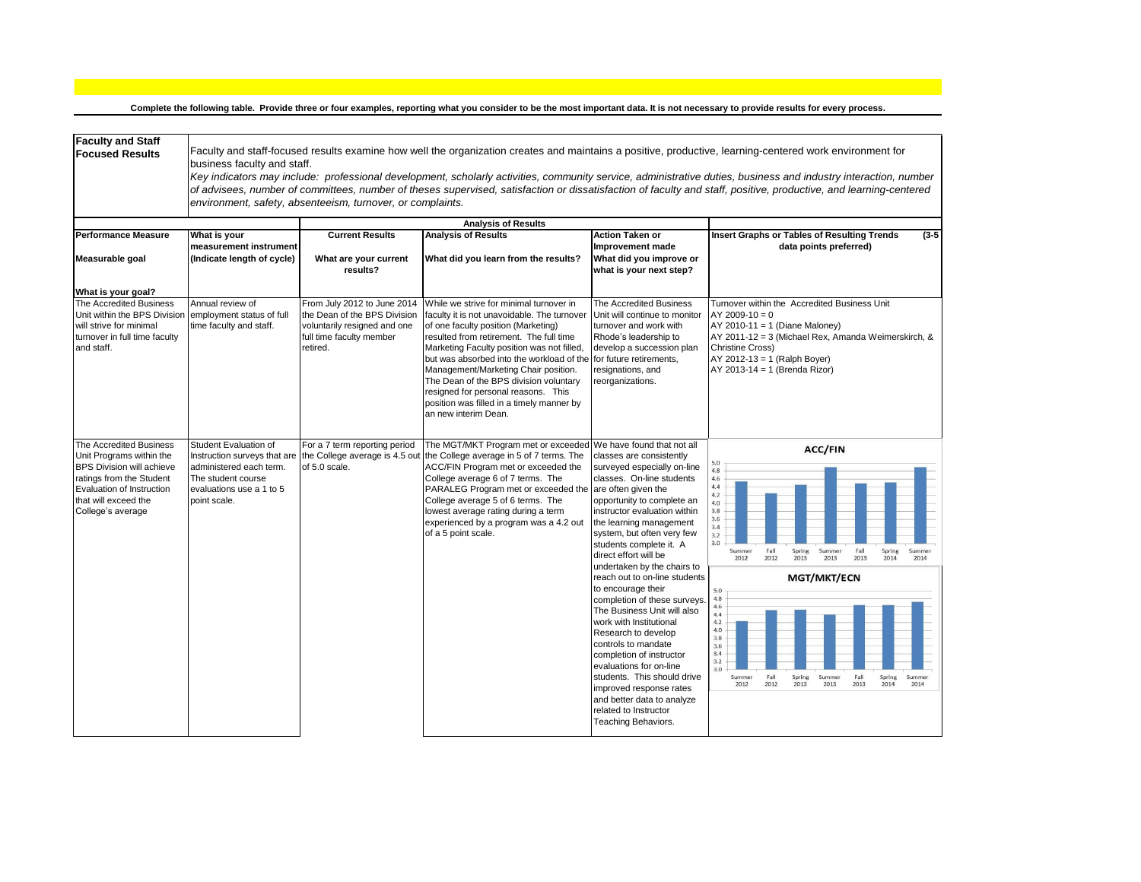**Complete the following table. Provide three or four examples, reporting what you consider to be the most important data. It is not necessary to provide results for every process.**

| <b>Faculty and Staff</b><br><b>Focused Results</b>                                                                                                                                            | business faculty and staff.                                                                                                                        | environment, safety, absenteeism, turnover, or complaints.                                                                          |                                                                                                                                                                                                                                                                                                                                                                                                                                                                   |                                                                                                                                                                                                                                                                                                                                                                                                                                                                                                                                                                                                                                                                                                                                                   | Faculty and staff-focused results examine how well the organization creates and maintains a positive, productive, learning-centered work environment for<br>Key indicators may include: professional development, scholarly activities, community service, administrative duties, business and industry interaction, number<br>of advisees, number of committees, number of theses supervised, satisfaction or dissatisfaction of faculty and staff, positive, productive, and learning-centered |
|-----------------------------------------------------------------------------------------------------------------------------------------------------------------------------------------------|----------------------------------------------------------------------------------------------------------------------------------------------------|-------------------------------------------------------------------------------------------------------------------------------------|-------------------------------------------------------------------------------------------------------------------------------------------------------------------------------------------------------------------------------------------------------------------------------------------------------------------------------------------------------------------------------------------------------------------------------------------------------------------|---------------------------------------------------------------------------------------------------------------------------------------------------------------------------------------------------------------------------------------------------------------------------------------------------------------------------------------------------------------------------------------------------------------------------------------------------------------------------------------------------------------------------------------------------------------------------------------------------------------------------------------------------------------------------------------------------------------------------------------------------|--------------------------------------------------------------------------------------------------------------------------------------------------------------------------------------------------------------------------------------------------------------------------------------------------------------------------------------------------------------------------------------------------------------------------------------------------------------------------------------------------|
|                                                                                                                                                                                               |                                                                                                                                                    |                                                                                                                                     | <b>Analysis of Results</b>                                                                                                                                                                                                                                                                                                                                                                                                                                        |                                                                                                                                                                                                                                                                                                                                                                                                                                                                                                                                                                                                                                                                                                                                                   |                                                                                                                                                                                                                                                                                                                                                                                                                                                                                                  |
| <b>Performance Measure</b><br>Measurable goal                                                                                                                                                 | What is your<br>measurement instrument<br>(Indicate length of cycle)                                                                               | <b>Current Results</b><br>What are your current<br>results?                                                                         | <b>Analysis of Results</b><br>What did you learn from the results?                                                                                                                                                                                                                                                                                                                                                                                                | <b>Action Taken or</b><br>Improvement made<br>What did you improve or<br>what is your next step?                                                                                                                                                                                                                                                                                                                                                                                                                                                                                                                                                                                                                                                  | Insert Graphs or Tables of Resulting Trends<br>$(3-5)$<br>data points preferred)                                                                                                                                                                                                                                                                                                                                                                                                                 |
| What is your goal?<br>The Accredited Business<br>Unit within the BPS Division<br>will strive for minimal<br>turnover in full time faculty<br>and staff.                                       | Annual review of<br>employment status of full<br>time faculty and staff.                                                                           | From July 2012 to June 2014<br>the Dean of the BPS Division<br>voluntarily resigned and one<br>full time faculty member<br>retired. | While we strive for minimal turnover in<br>faculty it is not unavoidable. The turnover<br>of one faculty position (Marketing)<br>resulted from retirement. The full time<br>Marketing Faculty position was not filled,<br>but was absorbed into the workload of the<br>Management/Marketing Chair position.<br>The Dean of the BPS division voluntary<br>resigned for personal reasons. This<br>position was filled in a timely manner by<br>an new interim Dean. | The Accredited Business<br>Unit will continue to monitor<br>turnover and work with<br>Rhode's leadership to<br>develop a succession plan<br>for future retirements,<br>resignations, and<br>reorganizations.                                                                                                                                                                                                                                                                                                                                                                                                                                                                                                                                      | Turnover within the Accredited Business Unit<br>$AY$ 2009-10 = 0<br>AY 2010-11 = 1 (Diane Maloney)<br>AY 2011-12 = 3 (Michael Rex, Amanda Weimerskirch, &<br><b>Christine Cross)</b><br>AY 2012-13 = 1 (Ralph Boyer)<br>AY 2013-14 = 1 (Brenda Rizor)                                                                                                                                                                                                                                            |
| The Accredited Business<br>Unit Programs within the<br><b>BPS Division will achieve</b><br>ratings from the Student<br>Evaluation of Instruction<br>that will exceed the<br>College's average | Student Evaluation of<br>Instruction surveys that are<br>administered each term.<br>The student course<br>evaluations use a 1 to 5<br>point scale. | For a 7 term reporting period<br>the College average is 4.5 out<br>of 5.0 scale.                                                    | The MGT/MKT Program met or exceeded<br>the College average in 5 of 7 terms. The<br>ACC/FIN Program met or exceeded the<br>College average 6 of 7 terms. The<br>PARALEG Program met or exceeded the<br>College average 5 of 6 terms. The<br>lowest average rating during a term<br>experienced by a program was a 4.2 out<br>of a 5 point scale.                                                                                                                   | We have found that not all<br>classes are consistently<br>surveyed especially on-line<br>classes. On-line students<br>are often given the<br>opportunity to complete an<br>instructor evaluation within<br>the learning management<br>system, but often very few<br>students complete it. A<br>direct effort will be<br>undertaken by the chairs to<br>reach out to on-line students<br>to encourage their<br>completion of these surveys.<br>The Business Unit will also<br>work with Institutional<br>Research to develop<br>controls to mandate<br>completion of instructor<br>evaluations for on-line<br>students. This should drive<br>improved response rates<br>and better data to analyze<br>related to Instructor<br>Teaching Behaviors. | <b>ACC/FIN</b><br>5.0<br>4,8<br>4.6<br>4, 4<br>4.2<br>4.0<br>3.8<br>3.6<br>3.4<br>3.2<br>3.0<br>Fall<br>Spring<br>Fall<br>Spring<br>Summer<br>Summer<br>Summer<br>2012<br>2013<br>2012<br>2013<br>2013<br>2014<br>2014<br><b>MGT/MKT/ECN</b><br>5.0<br>4.8<br>4.6<br>4.4<br>4.2<br>4.0<br>3.8<br>3.6<br>3.4<br>3.2<br>3.0<br>Fall<br>Fall<br>Summer<br>Spring<br>Summer<br>Spring<br>Summer<br>2012<br>2012<br>2013<br>2013<br>2013<br>2014<br>2014                                              |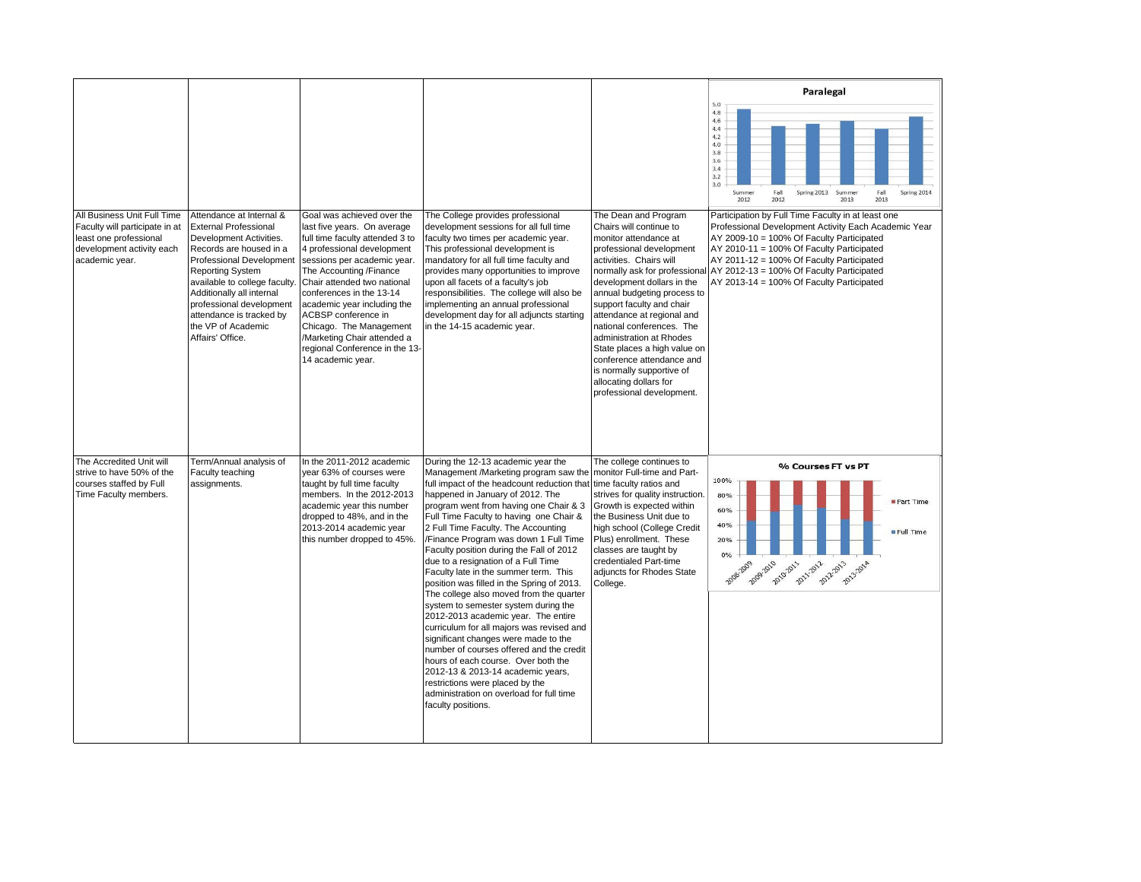|                                                                                                                                        |                                                                                                                                                                                                                                                                                                                                              |                                                                                                                                                                                                                                                                                                                                                                                                                        |                                                                                                                                                                                                                                                                                                                                                                                                                                                                                                                                                                                                                                                                                                                                                                                                                                                                                                                                                                                       |                                                                                                                                                                                                                                                                                                                                                                                                                                                                                                   | Paralegal                                                                                                                                                                                                                                                                                                                                   |
|----------------------------------------------------------------------------------------------------------------------------------------|----------------------------------------------------------------------------------------------------------------------------------------------------------------------------------------------------------------------------------------------------------------------------------------------------------------------------------------------|------------------------------------------------------------------------------------------------------------------------------------------------------------------------------------------------------------------------------------------------------------------------------------------------------------------------------------------------------------------------------------------------------------------------|---------------------------------------------------------------------------------------------------------------------------------------------------------------------------------------------------------------------------------------------------------------------------------------------------------------------------------------------------------------------------------------------------------------------------------------------------------------------------------------------------------------------------------------------------------------------------------------------------------------------------------------------------------------------------------------------------------------------------------------------------------------------------------------------------------------------------------------------------------------------------------------------------------------------------------------------------------------------------------------|---------------------------------------------------------------------------------------------------------------------------------------------------------------------------------------------------------------------------------------------------------------------------------------------------------------------------------------------------------------------------------------------------------------------------------------------------------------------------------------------------|---------------------------------------------------------------------------------------------------------------------------------------------------------------------------------------------------------------------------------------------------------------------------------------------------------------------------------------------|
|                                                                                                                                        |                                                                                                                                                                                                                                                                                                                                              |                                                                                                                                                                                                                                                                                                                                                                                                                        |                                                                                                                                                                                                                                                                                                                                                                                                                                                                                                                                                                                                                                                                                                                                                                                                                                                                                                                                                                                       |                                                                                                                                                                                                                                                                                                                                                                                                                                                                                                   | 5.0<br>4.8<br>4.6<br>4.4<br>4.2<br>4.0<br>3.8<br>3.6<br>3.4<br>3.2<br>3.0<br>Fall<br>Spring 2013<br>Fall<br>Spring 2014<br>Summer<br>Summer<br>2012<br>2012<br>2013<br>2013                                                                                                                                                                 |
| All Business Unit Full Time<br>Faculty will participate in at<br>least one professional<br>development activity each<br>academic year. | Attendance at Internal &<br><b>External Professional</b><br>Development Activities.<br>Records are housed in a<br><b>Professional Development</b><br><b>Reporting System</b><br>available to college faculty.<br>Additionally all internal<br>professional development<br>attendance is tracked by<br>the VP of Academic<br>Affairs' Office. | Goal was achieved over the<br>last five years. On average<br>full time faculty attended 3 to<br>4 professional development<br>sessions per academic year.<br>The Accounting /Finance<br>Chair attended two national<br>conferences in the 13-14<br>academic year including the<br>ACBSP conference in<br>Chicago. The Management<br>/Marketing Chair attended a<br>regional Conference in the 13-<br>14 academic year. | The College provides professional<br>development sessions for all full time<br>faculty two times per academic year.<br>This professional development is<br>mandatory for all full time faculty and<br>provides many opportunities to improve<br>upon all facets of a faculty's job<br>responsibilities. The college will also be<br>implementing an annual professional<br>development day for all adjuncts starting<br>in the 14-15 academic year.                                                                                                                                                                                                                                                                                                                                                                                                                                                                                                                                   | The Dean and Program<br>Chairs will continue to<br>monitor attendance at<br>professional development<br>activities. Chairs will<br>normally ask for professiona<br>development dollars in the<br>annual budgeting process to<br>support faculty and chair<br>attendance at regional and<br>national conferences. The<br>administration at Rhodes<br>State places a high value on<br>conference attendance and<br>is normally supportive of<br>allocating dollars for<br>professional development. | Participation by Full Time Faculty in at least one<br>Professional Development Activity Each Academic Year<br>AY 2009-10 = 100% Of Faculty Participated<br>AY 2010-11 = 100% Of Faculty Participated<br>AY 2011-12 = 100% Of Faculty Participated<br>AY 2012-13 = 100% Of Faculty Participated<br>AY 2013-14 = 100% Of Faculty Participated |
| The Accredited Unit will<br>strive to have 50% of the<br>courses staffed by Full<br>Time Faculty members.                              | Term/Annual analysis of<br>Faculty teaching<br>assignments.                                                                                                                                                                                                                                                                                  | In the 2011-2012 academic<br>year 63% of courses were<br>taught by full time faculty<br>members. In the 2012-2013<br>academic year this number<br>dropped to 48%, and in the<br>2013-2014 academic year<br>this number dropped to 45%.                                                                                                                                                                                 | During the 12-13 academic year the<br>Management /Marketing program saw the monitor Full-time and Part-<br>full impact of the headcount reduction that<br>happened in January of 2012. The<br>program went from having one Chair & 3<br>Full Time Faculty to having one Chair &<br>2 Full Time Faculty. The Accounting<br>/Finance Program was down 1 Full Time<br>Faculty position during the Fall of 2012<br>due to a resignation of a Full Time<br>Faculty late in the summer term. This<br>position was filled in the Spring of 2013.<br>The college also moved from the quarter<br>system to semester system during the<br>2012-2013 academic year. The entire<br>curriculum for all majors was revised and<br>significant changes were made to the<br>number of courses offered and the credit<br>hours of each course. Over both the<br>2012-13 & 2013-14 academic years,<br>restrictions were placed by the<br>administration on overload for full time<br>faculty positions. | The college continues to<br>time faculty ratios and<br>strives for quality instruction.<br>Growth is expected within<br>the Business Unit due to<br>high school (College Credit<br>Plus) enrollment. These<br>classes are taught by<br>credentialed Part-time<br>adjuncts for Rhodes State<br>College.                                                                                                                                                                                            | % Courses FT vs PT<br>100%<br>80%<br>Part Time<br>60%<br>40%<br>Full Time<br>20%<br>0%<br>2009-2010<br>2010-2011<br>2011-2012<br>2012-2013<br>2013-2014                                                                                                                                                                                     |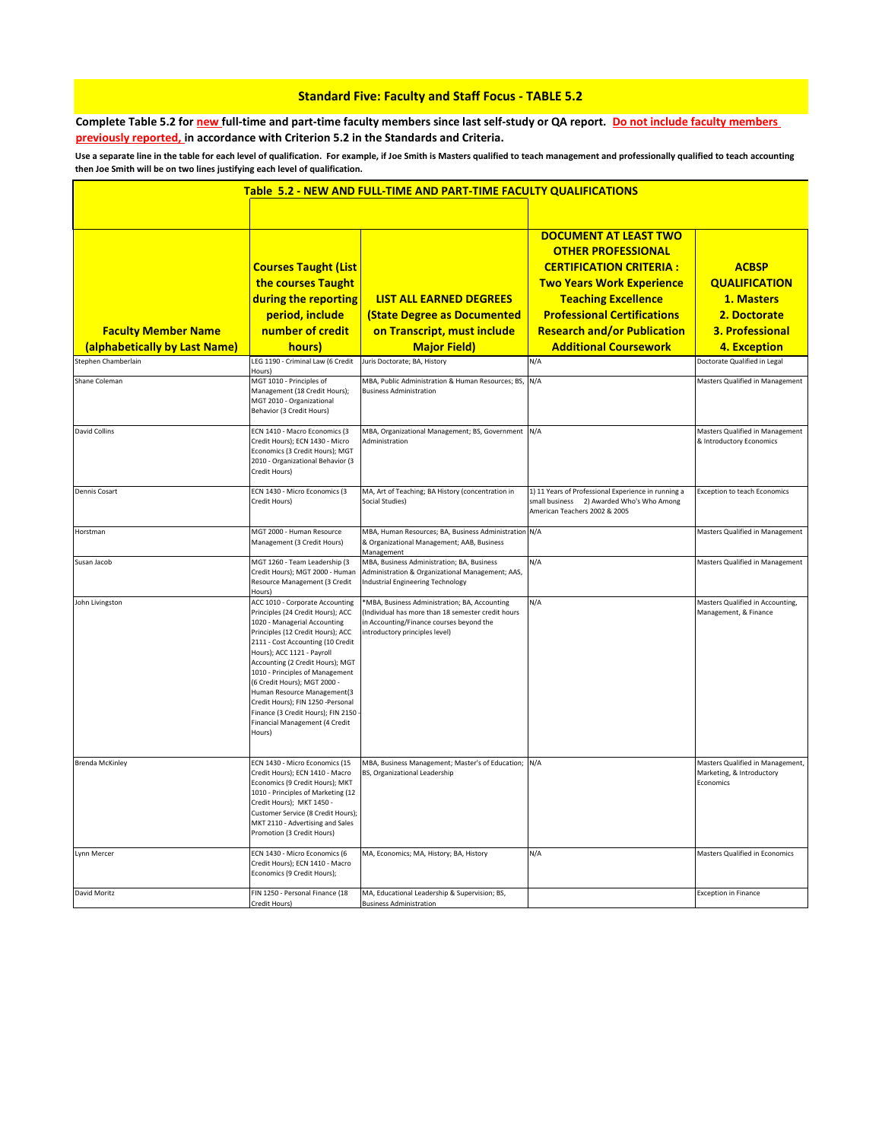## **Standard Five: Faculty and Staff Focus - TABLE 5.2**

**Complete Table 5.2 for new full-time and part-time faculty members since last self-study or QA report. Do not include faculty members previously reported, in accordance with Criterion 5.2 in the Standards and Criteria.**

**Use a separate line in the table for each level of qualification. For example, if Joe Smith is Masters qualified to teach management and professionally qualified to teach accounting then Joe Smith will be on two lines justifying each level of qualification.** 

|                                                             |                                                                                                                                                                                                                                                                                                                                                                                                                                                                           | Table 5.2 - NEW AND FULL-TIME AND PART-TIME FACULTY QUALIFICATIONS                                                                                                                |                                                                                                                                                                                                                                                                           |                                                                                                                     |
|-------------------------------------------------------------|---------------------------------------------------------------------------------------------------------------------------------------------------------------------------------------------------------------------------------------------------------------------------------------------------------------------------------------------------------------------------------------------------------------------------------------------------------------------------|-----------------------------------------------------------------------------------------------------------------------------------------------------------------------------------|---------------------------------------------------------------------------------------------------------------------------------------------------------------------------------------------------------------------------------------------------------------------------|---------------------------------------------------------------------------------------------------------------------|
| <b>Faculty Member Name</b><br>(alphabetically by Last Name) | <b>Courses Taught (List</b><br>the courses Taught<br>during the reporting<br>period, include<br>number of credit<br>hours)                                                                                                                                                                                                                                                                                                                                                | <b>LIST ALL EARNED DEGREES</b><br><b>(State Degree as Documented</b><br>on Transcript, must include<br><b>Major Field)</b>                                                        | <b>DOCUMENT AT LEAST TWO</b><br><b>OTHER PROFESSIONAL</b><br><b>CERTIFICATION CRITERIA:</b><br><b>Two Years Work Experience</b><br><b>Teaching Excellence</b><br><b>Professional Certifications</b><br><b>Research and/or Publication</b><br><b>Additional Coursework</b> | <b>ACBSP</b><br><b>QUALIFICATION</b><br>1. Masters<br>2. Doctorate<br><b>3. Professional</b><br><b>4. Exception</b> |
| Stephen Chamberlain                                         | LEG 1190 - Criminal Law (6 Credit                                                                                                                                                                                                                                                                                                                                                                                                                                         | Juris Doctorate; BA, History                                                                                                                                                      | N/A                                                                                                                                                                                                                                                                       | Doctorate Qualified in Legal                                                                                        |
| Shane Coleman                                               | Hours)<br>MGT 1010 - Principles of<br>Management (18 Credit Hours);<br>MGT 2010 - Organizational<br>Behavior (3 Credit Hours)                                                                                                                                                                                                                                                                                                                                             | MBA, Public Administration & Human Resources; BS, N/A<br><b>Business Administration</b>                                                                                           |                                                                                                                                                                                                                                                                           | Masters Qualified in Management                                                                                     |
| <b>David Collins</b>                                        | ECN 1410 - Macro Economics (3<br>Credit Hours); ECN 1430 - Micro<br>Economics (3 Credit Hours); MGT<br>2010 - Organizational Behavior (3<br>Credit Hours)                                                                                                                                                                                                                                                                                                                 | MBA, Organizational Management; BS, Government N/A<br>Administration                                                                                                              |                                                                                                                                                                                                                                                                           | Masters Qualified in Management<br>& Introductory Economics                                                         |
| Dennis Cosart                                               | ECN 1430 - Micro Economics (3<br>Credit Hours)                                                                                                                                                                                                                                                                                                                                                                                                                            | MA, Art of Teaching; BA History (concentration in<br>Social Studies)                                                                                                              | 1) 11 Years of Professional Experience in running a<br>small business 2) Awarded Who's Who Among<br>American Teachers 2002 & 2005                                                                                                                                         | <b>Exception to teach Economics</b>                                                                                 |
| Horstman                                                    | MGT 2000 - Human Resource<br>Management (3 Credit Hours)                                                                                                                                                                                                                                                                                                                                                                                                                  | MBA, Human Resources; BA, Business Administration N/A<br>& Organizational Management; AAB, Business<br>Management                                                                 |                                                                                                                                                                                                                                                                           | Masters Qualified in Management                                                                                     |
| Susan Jacob                                                 | MGT 1260 - Team Leadership (3<br>Credit Hours); MGT 2000 - Human<br>Resource Management (3 Credit<br>Hours)                                                                                                                                                                                                                                                                                                                                                               | MBA, Business Administration; BA, Business<br>Administration & Organizational Management; AAS,<br><b>Industrial Engineering Technology</b>                                        | N/A                                                                                                                                                                                                                                                                       | Masters Qualified in Management                                                                                     |
| John Livingston                                             | ACC 1010 - Corporate Accounting<br>Principles (24 Credit Hours); ACC<br>1020 - Managerial Accounting<br>Principles (12 Credit Hours); ACC<br>2111 - Cost Accounting (10 Credit<br>Hours); ACC 1121 - Payroll<br>Accounting (2 Credit Hours); MGT<br>1010 - Principles of Management<br>(6 Credit Hours); MGT 2000 -<br>Human Resource Management(3<br>Credit Hours); FIN 1250 -Personal<br>Finance (3 Credit Hours); FIN 2150<br>Financial Management (4 Credit<br>Hours) | *MBA, Business Administration; BA, Accounting<br>(Individual has more than 18 semester credit hours<br>in Accounting/Finance courses beyond the<br>introductory principles level) | N/A                                                                                                                                                                                                                                                                       | Masters Qualified in Accounting,<br>Management, & Finance                                                           |
| <b>Brenda McKinley</b>                                      | ECN 1430 - Micro Economics (15<br>Credit Hours); ECN 1410 - Macro<br>Economics (9 Credit Hours); MKT<br>1010 - Principles of Marketing (12<br>Credit Hours); MKT 1450 -<br>Customer Service (8 Credit Hours);<br>MKT 2110 - Advertising and Sales<br>Promotion (3 Credit Hours)                                                                                                                                                                                           | MBA, Business Management; Master's of Education; N/A<br>BS, Organizational Leadership                                                                                             |                                                                                                                                                                                                                                                                           | Masters Qualified in Management,<br>Marketing, & Introductory<br>Economics                                          |
| Lynn Mercer                                                 | ECN 1430 - Micro Economics (6<br>Credit Hours); ECN 1410 - Macro<br>Economics (9 Credit Hours);                                                                                                                                                                                                                                                                                                                                                                           | MA, Economics; MA, History; BA, History                                                                                                                                           | N/A                                                                                                                                                                                                                                                                       | Masters Qualified in Economics                                                                                      |
| David Moritz                                                | FIN 1250 - Personal Finance (18<br>Credit Hours)                                                                                                                                                                                                                                                                                                                                                                                                                          | MA, Educational Leadership & Supervision; BS,<br><b>Business Administration</b>                                                                                                   |                                                                                                                                                                                                                                                                           | <b>Exception in Finance</b>                                                                                         |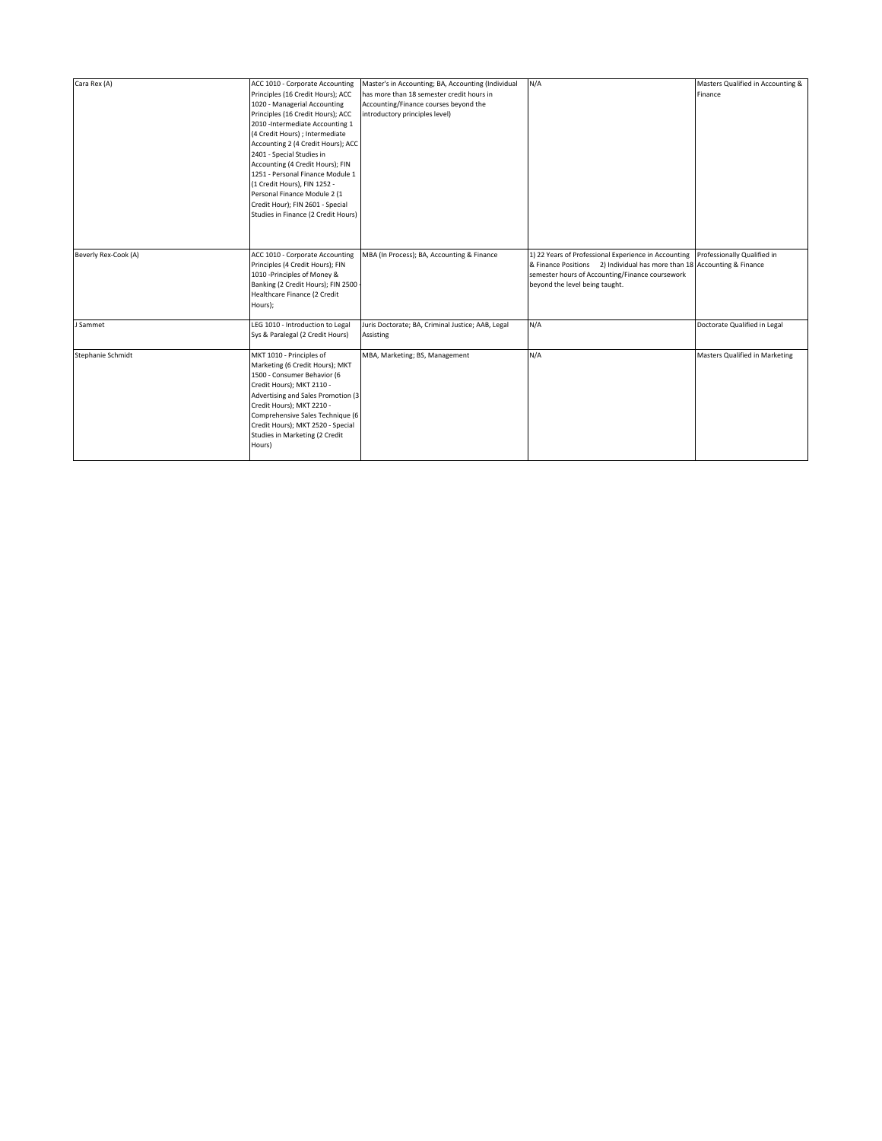| Cara Rex (A)         | ACC 1010 - Corporate Accounting<br>Principles (16 Credit Hours); ACC<br>1020 - Managerial Accounting<br>Principles (16 Credit Hours); ACC<br>2010 - Intermediate Accounting 1<br>(4 Credit Hours); Intermediate<br>Accounting 2 (4 Credit Hours); ACC<br>2401 - Special Studies in<br>Accounting (4 Credit Hours); FIN<br>1251 - Personal Finance Module 1<br>(1 Credit Hours), FIN 1252 -<br>Personal Finance Module 2 (1<br>Credit Hour); FIN 2601 - Special<br>Studies in Finance (2 Credit Hours) | Master's in Accounting; BA, Accounting (Individual<br>has more than 18 semester credit hours in<br>Accounting/Finance courses beyond the<br>introductory principles level) | N/A                                                                                                                                                                                                                                              | Masters Qualified in Accounting &<br>Finance |
|----------------------|-------------------------------------------------------------------------------------------------------------------------------------------------------------------------------------------------------------------------------------------------------------------------------------------------------------------------------------------------------------------------------------------------------------------------------------------------------------------------------------------------------|----------------------------------------------------------------------------------------------------------------------------------------------------------------------------|--------------------------------------------------------------------------------------------------------------------------------------------------------------------------------------------------------------------------------------------------|----------------------------------------------|
| Beverly Rex-Cook (A) | ACC 1010 - Corporate Accounting<br>Principles (4 Credit Hours); FIN<br>1010 - Principles of Money &<br>Banking (2 Credit Hours); FIN 2500 -<br>Healthcare Finance (2 Credit<br>Hours);                                                                                                                                                                                                                                                                                                                | MBA (In Process); BA, Accounting & Finance                                                                                                                                 | 1) 22 Years of Professional Experience in Accounting Professionally Qualified in<br>& Finance Positions 2) Individual has more than 18 Accounting & Finance<br>semester hours of Accounting/Finance coursework<br>beyond the level being taught. |                                              |
| J Sammet             | LEG 1010 - Introduction to Legal<br>Sys & Paralegal (2 Credit Hours)                                                                                                                                                                                                                                                                                                                                                                                                                                  | Juris Doctorate; BA, Criminal Justice; AAB, Legal<br><b>Assisting</b>                                                                                                      | N/A                                                                                                                                                                                                                                              | Doctorate Qualified in Legal                 |
| Stephanie Schmidt    | MKT 1010 - Principles of<br>Marketing (6 Credit Hours); MKT<br>1500 - Consumer Behavior (6<br>Credit Hours); MKT 2110 -<br>Advertising and Sales Promotion (3<br>Credit Hours); MKT 2210 -<br>Comprehensive Sales Technique (6<br>Credit Hours); MKT 2520 - Special<br>Studies in Marketing (2 Credit<br>Hours)                                                                                                                                                                                       | MBA, Marketing; BS, Management                                                                                                                                             | N/A                                                                                                                                                                                                                                              | Masters Qualified in Marketing               |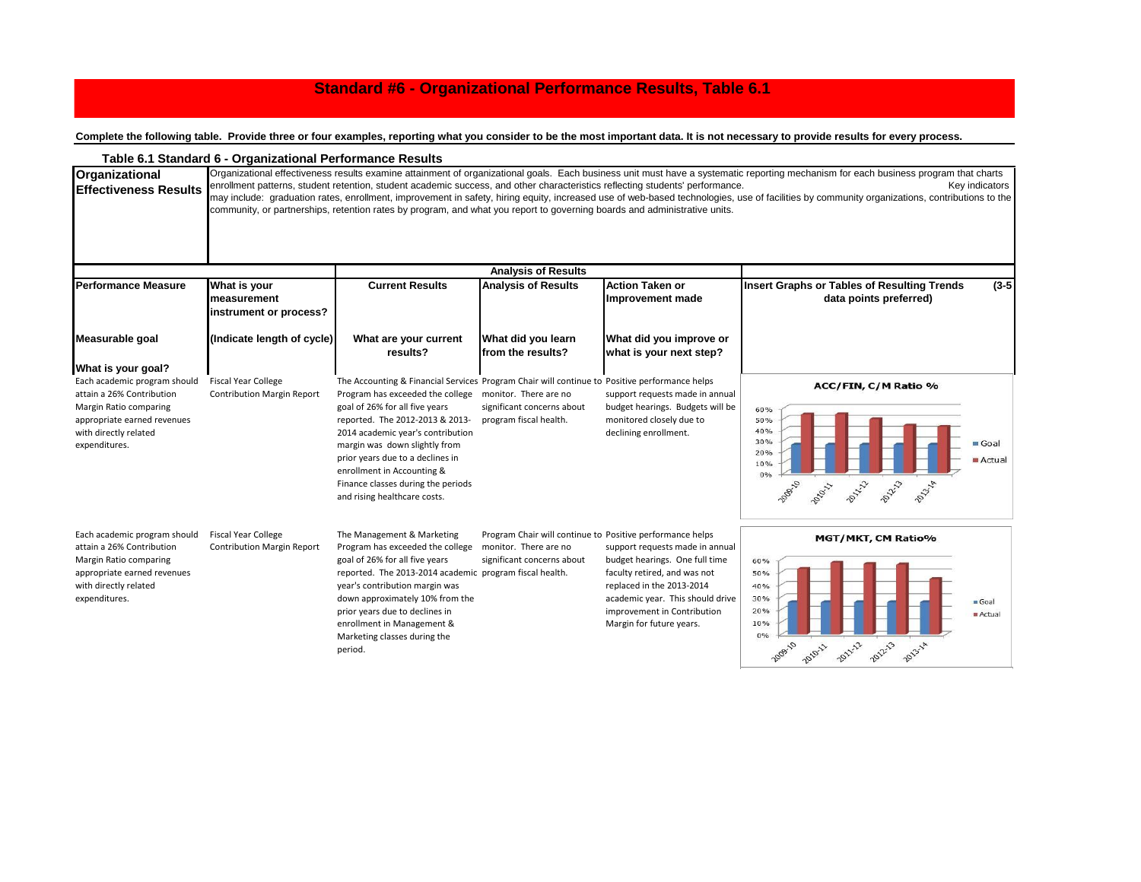## **Standard #6 - Organizational Performance Results, Table 6.1**

**Complete the following table. Provide three or four examples, reporting what you consider to be the most important data. It is not necessary to provide results for every process.**

|                                                                                                                                                                                    | Table 6.1 Standard 6 - Organizational Performance Results       |                                                                                                                                                                                                                                                                                                                                                                                                                                            |                                                                                                                  |                                                                                                                                                                                                                               |                                                                                                                                                                                                                                                                                                                                                                                                        |
|------------------------------------------------------------------------------------------------------------------------------------------------------------------------------------|-----------------------------------------------------------------|--------------------------------------------------------------------------------------------------------------------------------------------------------------------------------------------------------------------------------------------------------------------------------------------------------------------------------------------------------------------------------------------------------------------------------------------|------------------------------------------------------------------------------------------------------------------|-------------------------------------------------------------------------------------------------------------------------------------------------------------------------------------------------------------------------------|--------------------------------------------------------------------------------------------------------------------------------------------------------------------------------------------------------------------------------------------------------------------------------------------------------------------------------------------------------------------------------------------------------|
| Organizational<br><b>Effectiveness Results</b>                                                                                                                                     |                                                                 | enrollment patterns, student retention, student academic success, and other characteristics reflecting students' performance.<br>community, or partnerships, retention rates by program, and what you report to governing boards and administrative units.                                                                                                                                                                                 |                                                                                                                  |                                                                                                                                                                                                                               | Organizational effectiveness results examine attainment of organizational goals. Each business unit must have a systematic reporting mechanism for each business program that charts<br>Key indicators<br>may include: graduation rates, enrollment, improvement in safety, hiring equity, increased use of web-based technologies, use of facilities by community organizations, contributions to the |
|                                                                                                                                                                                    |                                                                 |                                                                                                                                                                                                                                                                                                                                                                                                                                            | <b>Analysis of Results</b>                                                                                       |                                                                                                                                                                                                                               |                                                                                                                                                                                                                                                                                                                                                                                                        |
| <b>Performance Measure</b>                                                                                                                                                         | What is your<br>measurement<br>instrument or process?           | <b>Current Results</b><br><b>Action Taken or</b><br><b>Analysis of Results</b><br>Improvement made                                                                                                                                                                                                                                                                                                                                         |                                                                                                                  | <b>Insert Graphs or Tables of Resulting Trends</b><br>$(3-5)$<br>data points preferred)                                                                                                                                       |                                                                                                                                                                                                                                                                                                                                                                                                        |
| Measurable goal                                                                                                                                                                    | (Indicate length of cycle)                                      | What are your current<br>results?                                                                                                                                                                                                                                                                                                                                                                                                          | What did you learn<br>from the results?                                                                          | What did you improve or<br>what is your next step?                                                                                                                                                                            |                                                                                                                                                                                                                                                                                                                                                                                                        |
| What is your goal?<br>Each academic program should<br>attain a 26% Contribution<br>Margin Ratio comparing<br>appropriate earned revenues<br>with directly related<br>expenditures. | <b>Fiscal Year College</b><br><b>Contribution Margin Report</b> | The Accounting & Financial Services Program Chair will continue to Positive performance helps<br>Program has exceeded the college monitor. There are no<br>goal of 26% for all five years<br>reported. The 2012-2013 & 2013-<br>2014 academic year's contribution<br>margin was down slightly from<br>prior years due to a declines in<br>enrollment in Accounting &<br>Finance classes during the periods<br>and rising healthcare costs. | significant concerns about<br>program fiscal health.                                                             | support requests made in annual<br>budget hearings. Budgets will be<br>monitored closely due to<br>declining enrollment.                                                                                                      | ACC/FIN, C/M Ratio %<br>60%<br>50%<br>40%<br>30%<br>Goal<br>20%<br>Actual<br>10%<br>0%<br>2021-3<br>POLITIC<br>1000110<br>2010L<br>2013-14                                                                                                                                                                                                                                                             |
| Each academic program should<br>attain a 26% Contribution<br>Margin Ratio comparing<br>appropriate earned revenues<br>with directly related<br>expenditures.                       | <b>Fiscal Year College</b><br><b>Contribution Margin Report</b> | The Management & Marketing<br>Program has exceeded the college<br>goal of 26% for all five years<br>reported. The 2013-2014 academic program fiscal health.<br>year's contribution margin was<br>down approximately 10% from the<br>prior years due to declines in<br>enrollment in Management &<br>Marketing classes during the<br>period.                                                                                                | Program Chair will continue to Positive performance helps<br>monitor. There are no<br>significant concerns about | support requests made in annual<br>budget hearings. One full time<br>faculty retired, and was not<br>replaced in the 2013-2014<br>academic year. This should drive<br>improvement in Contribution<br>Margin for future years. | MGT/MKT, CM Ratio%<br>60%<br>50%<br>40%<br>30%<br>Goal<br>20%<br>Actual<br>10%<br>0%<br>2011-12<br><b>2012-13</b><br>2013-1A<br>2010-11                                                                                                                                                                                                                                                                |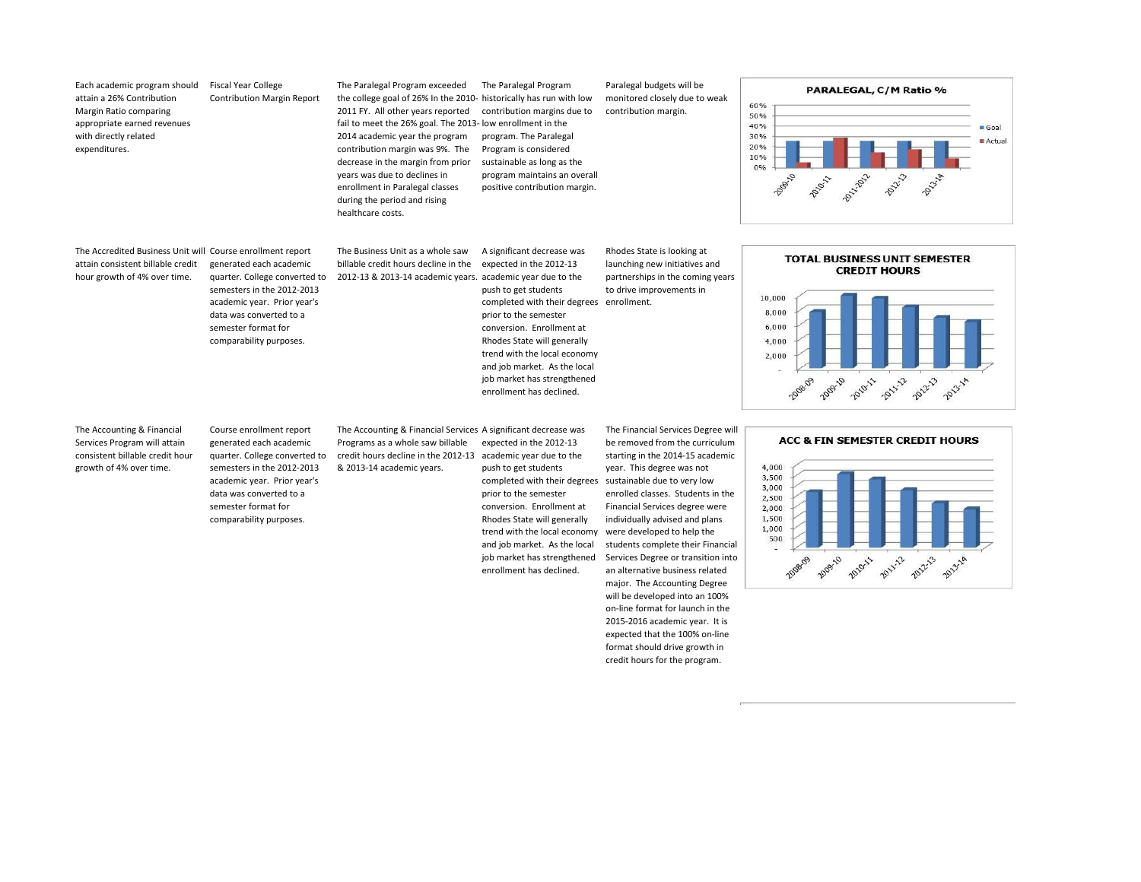| Each academic program should<br>attain a 26% Contribution<br>Margin Ratio comparing<br>appropriate earned revenues<br>with directly related<br>expenditures. | <b>Fiscal Year College</b><br><b>Contribution Margin Report</b>                                                                                                                                                                | The Paralegal Program exceeded<br>the college goal of 26% In the 2010- historically has run with low<br>2011 FY. All other years reported<br>fail to meet the 26% goal. The 2013- low enrollment in the<br>2014 academic year the program<br>contribution margin was 9%. The<br>decrease in the margin from prior<br>years was due to declines in<br>enrollment in Paralegal classes<br>during the period and rising<br>healthcare costs. | The Paralegal Program<br>contribution margins due to<br>program. The Paralegal<br>Program is considered<br>sustainable as long as the<br>program maintains an overall<br>positive contribution margin.                                                                                                                                                    | Paralegal budgets will be<br>monitored closely due to weak<br>contribution margin.                                                                                                                                                                                                                                                                                                                                                                                                                                              | PARALEGAL, C/M Ratio %<br>60%<br>50%<br>40%<br>Goal<br>30%<br>Actual<br>20%<br>10%<br>0%<br>DOLL-2012<br>2009-10<br><b>PONTS</b><br>2011/18<br>Poplar                      |
|--------------------------------------------------------------------------------------------------------------------------------------------------------------|--------------------------------------------------------------------------------------------------------------------------------------------------------------------------------------------------------------------------------|-------------------------------------------------------------------------------------------------------------------------------------------------------------------------------------------------------------------------------------------------------------------------------------------------------------------------------------------------------------------------------------------------------------------------------------------|-----------------------------------------------------------------------------------------------------------------------------------------------------------------------------------------------------------------------------------------------------------------------------------------------------------------------------------------------------------|---------------------------------------------------------------------------------------------------------------------------------------------------------------------------------------------------------------------------------------------------------------------------------------------------------------------------------------------------------------------------------------------------------------------------------------------------------------------------------------------------------------------------------|----------------------------------------------------------------------------------------------------------------------------------------------------------------------------|
| The Accredited Business Unit will Course enrollment report<br>attain consistent billable credit<br>hour growth of 4% over time.                              | generated each academic<br>quarter. College converted to<br>semesters in the 2012-2013<br>academic year. Prior year's<br>data was converted to a<br>semester format for<br>comparability purposes.                             | The Business Unit as a whole saw<br>billable credit hours decline in the<br>2012-13 & 2013-14 academic years.                                                                                                                                                                                                                                                                                                                             | A significant decrease was<br>expected in the 2012-13<br>academic year due to the<br>push to get students<br>completed with their degrees<br>prior to the semester<br>conversion. Enrollment at<br>Rhodes State will generally<br>trend with the local economy<br>and job market. As the local<br>job market has strengthened<br>enrollment has declined. | Rhodes State is looking at<br>launching new initiatives and<br>partnerships in the coming years<br>to drive improvements in<br>enrollment.                                                                                                                                                                                                                                                                                                                                                                                      | <b>TOTAL BUSINESS UNIT SEMESTER</b><br><b>CREDIT HOURS</b><br>10,000<br>8,000<br>6,000<br>4,000<br>2,000<br>2012-13<br>2011-12<br>2009-10<br>2010-11<br>2008-09<br>2013-14 |
| The Accounting & Financial<br>Services Program will attain<br>consistent billable credit hour<br>growth of 4% over time.                                     | Course enrollment report<br>generated each academic<br>quarter. College converted to<br>semesters in the 2012-2013<br>academic year. Prior year's<br>data was converted to a<br>semester format for<br>comparability purposes. | The Accounting & Financial Services A significant decrease was<br>Programs as a whole saw billable<br>credit hours decline in the 2012-13<br>& 2013-14 academic years.                                                                                                                                                                                                                                                                    | expected in the 2012-13<br>academic year due to the<br>push to get students<br>completed with their degrees<br>prior to the semester<br>conversion. Enrollment at<br>Rhodes State will generally<br>trend with the local economy<br>and job market. As the local<br>job market has strengthened<br>enrollment has declined.                               | The Financial Services Degree will<br>be removed from the curriculum<br>starting in the 2014-15 academic<br>year. This degree was not<br>sustainable due to very low<br>enrolled classes. Students in the<br>Financial Services degree were<br>individually advised and plans<br>were developed to help the<br>students complete their Financial<br>Services Degree or transition into<br>an alternative business related<br>major. The Accounting Degree<br>will be developed into an 100%<br>on-line format for launch in the | ACC & FIN SEMESTER CREDIT HOURS<br>4,000<br>3,500<br>3,000<br>2,500<br>2,000<br>1,500<br>1,000<br>500<br>2009-10<br>2011-12<br>2012-13<br>2010-11<br>2013-18               |

2015-2016 academic year. It is expected that the 100% on-line format should drive growth in credit hours for the program.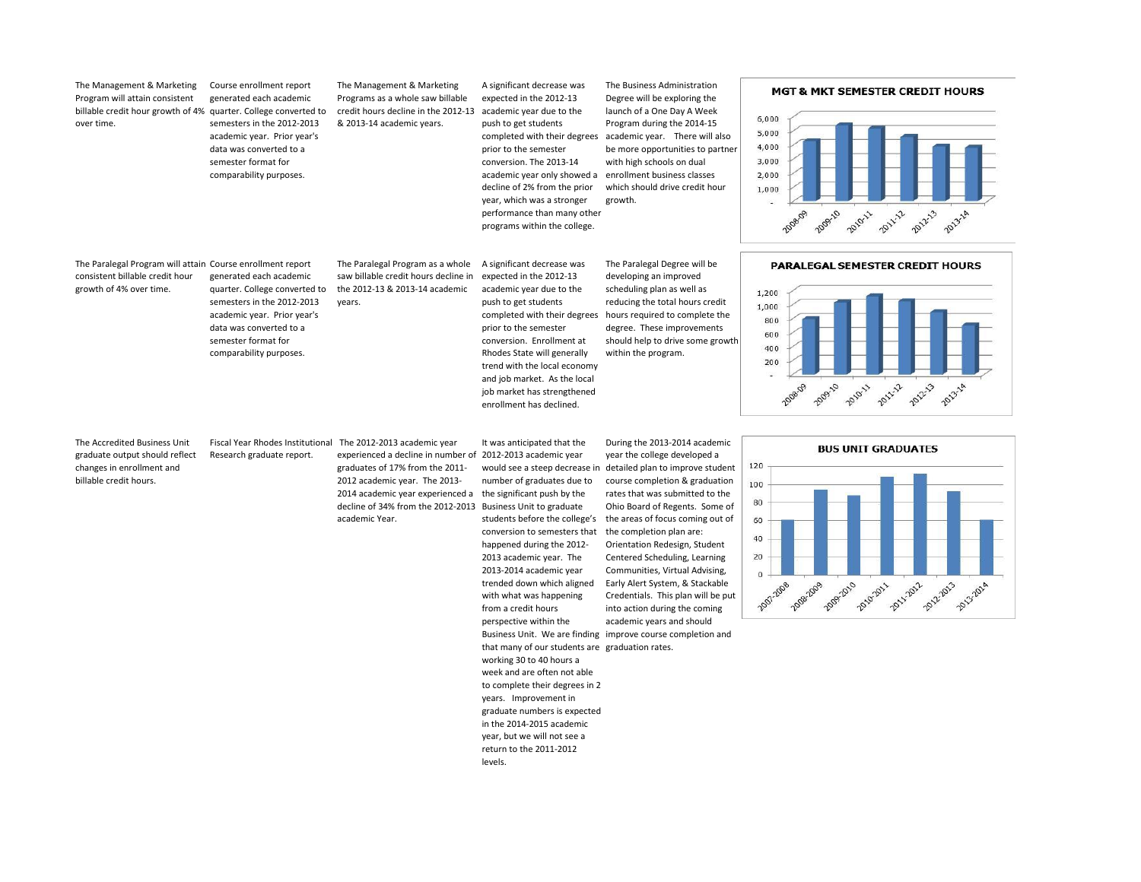| The Management & Marketing<br>Program will attain consistent<br>billable credit hour growth of 4% quarter. College converted to<br>over time. | Course enrollment report<br>generated each academic<br>semesters in the 2012-2013<br>academic year. Prior year's<br>data was converted to a<br>semester format for<br>comparability purposes.      | The Management & Marketing<br>Programs as a whole saw billable<br>credit hours decline in the 2012-13<br>& 2013-14 academic years.                                                                                        | A significant decrease was<br>expected in the 2012-13<br>academic year due to the<br>push to get students<br>prior to the semester<br>conversion. The 2013-14<br>academic year only showed a enrollment business classes<br>decline of 2% from the prior<br>year, which was a stronger<br>performance than many other<br>programs within the college.                                                                                                                                                                                                                                        | The Business Administration<br>Degree will be exploring the<br>launch of a One Day A Week<br>Program during the 2014-15<br>completed with their degrees academic year. There will also<br>be more opportunities to partner<br>with high schools on dual<br>which should drive credit hour<br>growth.                                                                                                                                                                                                                                                                                                             | <b>MGT &amp; MKT SEMESTER CREDIT HOURS</b><br>6,000<br>5,000<br>4,000<br>3,000<br>2,000<br>1,000<br>2009-10<br>2011-12<br>2012-13<br><b>2010-11</b><br>2008-09<br>2013-14 |
|-----------------------------------------------------------------------------------------------------------------------------------------------|----------------------------------------------------------------------------------------------------------------------------------------------------------------------------------------------------|---------------------------------------------------------------------------------------------------------------------------------------------------------------------------------------------------------------------------|----------------------------------------------------------------------------------------------------------------------------------------------------------------------------------------------------------------------------------------------------------------------------------------------------------------------------------------------------------------------------------------------------------------------------------------------------------------------------------------------------------------------------------------------------------------------------------------------|------------------------------------------------------------------------------------------------------------------------------------------------------------------------------------------------------------------------------------------------------------------------------------------------------------------------------------------------------------------------------------------------------------------------------------------------------------------------------------------------------------------------------------------------------------------------------------------------------------------|---------------------------------------------------------------------------------------------------------------------------------------------------------------------------|
| The Paralegal Program will attain Course enrollment report<br>consistent billable credit hour<br>growth of 4% over time.                      | generated each academic<br>quarter. College converted to<br>semesters in the 2012-2013<br>academic year. Prior year's<br>data was converted to a<br>semester format for<br>comparability purposes. | The Paralegal Program as a whole<br>saw billable credit hours decline in<br>the 2012-13 & 2013-14 academic<br>years.                                                                                                      | A significant decrease was<br>expected in the 2012-13<br>academic year due to the<br>push to get students<br>prior to the semester<br>conversion. Enrollment at<br>Rhodes State will generally<br>trend with the local economy<br>and job market. As the local<br>job market has strengthened<br>enrollment has declined.                                                                                                                                                                                                                                                                    | The Paralegal Degree will be<br>developing an improved<br>scheduling plan as well as<br>reducing the total hours credit<br>completed with their degrees hours required to complete the<br>degree. These improvements<br>should help to drive some growth<br>within the program.                                                                                                                                                                                                                                                                                                                                  | PARALEGAL SEMESTER CREDIT HOURS<br>1,200<br>1,000<br>800<br>600<br>400<br>200<br>2012-13<br>2009-10<br>2010-11<br>2011-12<br>2008-09<br>2013-14                           |
| The Accredited Business Unit<br>graduate output should reflect<br>changes in enrollment and<br>billable credit hours.                         | Fiscal Year Rhodes Institutional The 2012-2013 academic year<br>Research graduate report.                                                                                                          | experienced a decline in number of 2012-2013 academic year<br>graduates of 17% from the 2011-<br>2012 academic year. The 2013-<br>2014 academic year experienced a<br>decline of 34% from the 2012-2013<br>academic Year. | It was anticipated that the<br>number of graduates due to<br>the significant push by the<br>Business Unit to graduate<br>students before the college's<br>conversion to semesters that<br>happened during the 2012-<br>2013 academic year. The<br>2013-2014 academic year<br>trended down which aligned<br>with what was happening<br>from a credit hours<br>perspective within the<br>that many of our students are graduation rates.<br>working 30 to 40 hours a<br>week and are often not able<br>to complete their degrees in 2<br>years. Improvement in<br>graduate numbers is expected | During the 2013-2014 academic<br>year the college developed a<br>would see a steep decrease in detailed plan to improve student<br>course completion & graduation<br>rates that was submitted to the<br>Ohio Board of Regents. Some of<br>the areas of focus coming out of<br>the completion plan are:<br>Orientation Redesign, Student<br>Centered Scheduling, Learning<br>Communities, Virtual Advising,<br>Early Alert System, & Stackable<br>Credentials. This plan will be put<br>into action during the coming<br>academic years and should<br>Business Unit. We are finding improve course completion and | <b>BUS UNIT GRADUATES</b><br>120<br>100<br>80<br>60<br>40<br>20<br>2011-2012<br>2009-2010<br>2010-2011<br>2012-2013<br>2008-2009<br>2013-2014<br>2007-2008                |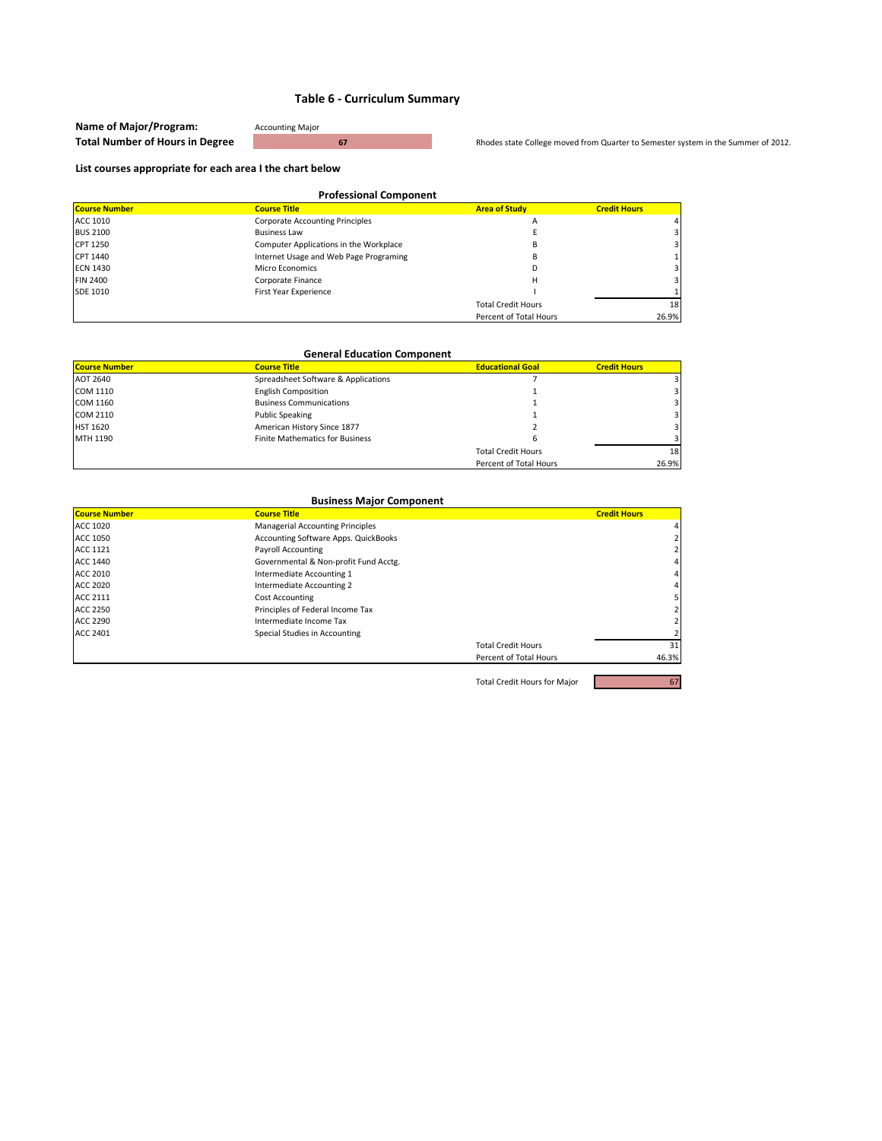| Name of Major/Program:                 | <b>Accounting Major</b> |  |
|----------------------------------------|-------------------------|--|
| <b>Total Number of Hours in Degree</b> |                         |  |

**hodes state College moved from Quarter to Semester system in the Summer of 2012.** 

#### **List courses appropriate for each area I the chart below**

| <b>Professional Component</b> |                                        |                           |                     |
|-------------------------------|----------------------------------------|---------------------------|---------------------|
| <b>Course Number</b>          | <b>Course Title</b>                    | <b>Area of Study</b>      | <b>Credit Hours</b> |
| ACC 1010                      | <b>Corporate Accounting Principles</b> | Α                         |                     |
| <b>BUS 2100</b>               | <b>Business Law</b>                    |                           |                     |
| CPT 1250                      | Computer Applications in the Workplace | в                         |                     |
| CPT 1440                      | Internet Usage and Web Page Programing | в                         |                     |
| <b>ECN 1430</b>               | Micro Economics                        |                           |                     |
| <b>FIN 2400</b>               | Corporate Finance                      | Н                         |                     |
| SDE 1010                      | First Year Experience                  |                           |                     |
|                               |                                        | <b>Total Credit Hours</b> | 18                  |
|                               |                                        | Percent of Total Hours    | 26.9%               |

| <b>General Education Component</b>                                                            |                                        |                           |       |  |  |
|-----------------------------------------------------------------------------------------------|----------------------------------------|---------------------------|-------|--|--|
| <b>Course Number</b><br><b>Educational Goal</b><br><b>Course Title</b><br><b>Credit Hours</b> |                                        |                           |       |  |  |
| AOT 2640                                                                                      | Spreadsheet Software & Applications    |                           |       |  |  |
| COM 1110                                                                                      | <b>English Composition</b>             |                           |       |  |  |
| COM 1160                                                                                      | <b>Business Communications</b>         |                           |       |  |  |
| COM 2110                                                                                      | <b>Public Speaking</b>                 |                           |       |  |  |
| <b>HST 1620</b>                                                                               | American History Since 1877            |                           |       |  |  |
| MTH 1190                                                                                      | <b>Finite Mathematics for Business</b> |                           |       |  |  |
|                                                                                               |                                        | <b>Total Credit Hours</b> | 18    |  |  |
|                                                                                               |                                        | Percent of Total Hours    | 26.9% |  |  |

| <b>Business Major Component</b> |                                         |                           |                     |
|---------------------------------|-----------------------------------------|---------------------------|---------------------|
| <b>Course Number</b>            | <b>Course Title</b>                     |                           | <b>Credit Hours</b> |
| <b>ACC 1020</b>                 | <b>Managerial Accounting Principles</b> |                           | $\overline{4}$      |
| <b>ACC 1050</b>                 | Accounting Software Apps. QuickBooks    |                           |                     |
| <b>ACC 1121</b>                 | <b>Payroll Accounting</b>               |                           |                     |
| <b>ACC 1440</b>                 | Governmental & Non-profit Fund Acctg.   |                           | 4                   |
| <b>ACC 2010</b>                 | Intermediate Accounting 1               |                           | 4 <sup>1</sup>      |
| <b>ACC 2020</b>                 | Intermediate Accounting 2               |                           | 4 <sup>1</sup>      |
| ACC 2111                        | <b>Cost Accounting</b>                  |                           | 5                   |
| <b>ACC 2250</b>                 | Principles of Federal Income Tax        |                           |                     |
| <b>ACC 2290</b>                 | Intermediate Income Tax                 |                           |                     |
| <b>ACC 2401</b>                 | Special Studies in Accounting           |                           |                     |
|                                 |                                         | <b>Total Credit Hours</b> | 31                  |
|                                 |                                         | Percent of Total Hours    | 46.3%               |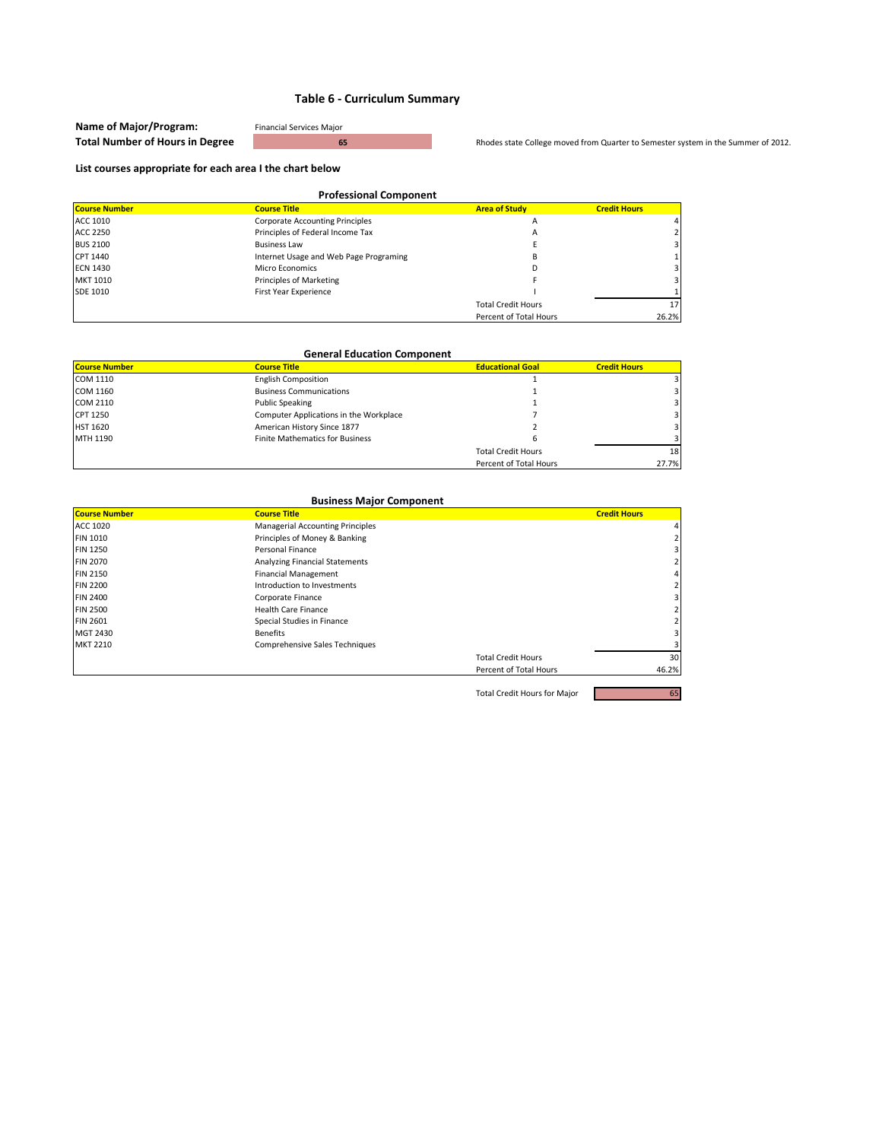| Name of Major/Program:                 | <b>Financial Services Major</b> |                                                                                   |
|----------------------------------------|---------------------------------|-----------------------------------------------------------------------------------|
| <b>Total Number of Hours in Degree</b> |                                 | Rhodes state College moved from Quarter to Semester system in the Summer of 2012. |

#### **List courses appropriate for each area I the chart below**

| <b>Professional Component</b> |                                        |                           |                         |
|-------------------------------|----------------------------------------|---------------------------|-------------------------|
| <b>Course Number</b>          | <b>Course Title</b>                    | <b>Area of Study</b>      | <b>Credit Hours</b>     |
| ACC 1010                      | <b>Corporate Accounting Principles</b> | A                         | 4                       |
| <b>ACC 2250</b>               | Principles of Federal Income Tax       | A                         |                         |
| <b>BUS 2100</b>               | <b>Business Law</b>                    |                           | $\overline{\mathbf{3}}$ |
| CPT 1440                      | Internet Usage and Web Page Programing | B                         |                         |
| <b>ECN 1430</b>               | Micro Economics                        | D                         | $\overline{\mathbf{3}}$ |
| <b>MKT 1010</b>               | Principles of Marketing                |                           | $\overline{\mathbf{3}}$ |
| <b>SDE 1010</b>               | First Year Experience                  |                           |                         |
|                               |                                        | <b>Total Credit Hours</b> | 17 <sup>1</sup>         |
|                               |                                        | Percent of Total Hours    | 26.2%                   |

| <b>General Education Component</b> |                                        |                           |                     |
|------------------------------------|----------------------------------------|---------------------------|---------------------|
| <b>Course Number</b>               | <b>Course Title</b>                    | <b>Educational Goal</b>   | <b>Credit Hours</b> |
| COM 1110                           | <b>English Composition</b>             |                           |                     |
| COM 1160                           | <b>Business Communications</b>         |                           |                     |
| COM 2110                           | <b>Public Speaking</b>                 |                           |                     |
| CPT 1250                           | Computer Applications in the Workplace |                           |                     |
| <b>HST 1620</b>                    | American History Since 1877            |                           |                     |
| MTH 1190                           | <b>Finite Mathematics for Business</b> |                           |                     |
|                                    |                                        | <b>Total Credit Hours</b> | 18 <sup>1</sup>     |
|                                    |                                        | Percent of Total Hours    | 27.7%               |

| <b>Business Major Component</b> |                                         |                           |                     |
|---------------------------------|-----------------------------------------|---------------------------|---------------------|
| <b>Course Number</b>            | <b>Course Title</b>                     |                           | <b>Credit Hours</b> |
| ACC 1020                        | <b>Managerial Accounting Principles</b> |                           | 4                   |
| <b>FIN 1010</b>                 | Principles of Money & Banking           |                           |                     |
| <b>FIN 1250</b>                 | Personal Finance                        |                           | 3                   |
| <b>FIN 2070</b>                 | <b>Analyzing Financial Statements</b>   |                           |                     |
| <b>FIN 2150</b>                 | <b>Financial Management</b>             |                           |                     |
| <b>FIN 2200</b>                 | Introduction to Investments             |                           |                     |
| <b>FIN 2400</b>                 | Corporate Finance                       |                           | 3                   |
| <b>FIN 2500</b>                 | <b>Health Care Finance</b>              |                           |                     |
| <b>FIN 2601</b>                 | Special Studies in Finance              |                           |                     |
| MGT 2430                        | <b>Benefits</b>                         |                           | 31                  |
| <b>MKT 2210</b>                 | <b>Comprehensive Sales Techniques</b>   |                           |                     |
|                                 |                                         | <b>Total Credit Hours</b> | 30                  |
|                                 |                                         | Percent of Total Hours    | 46.2%               |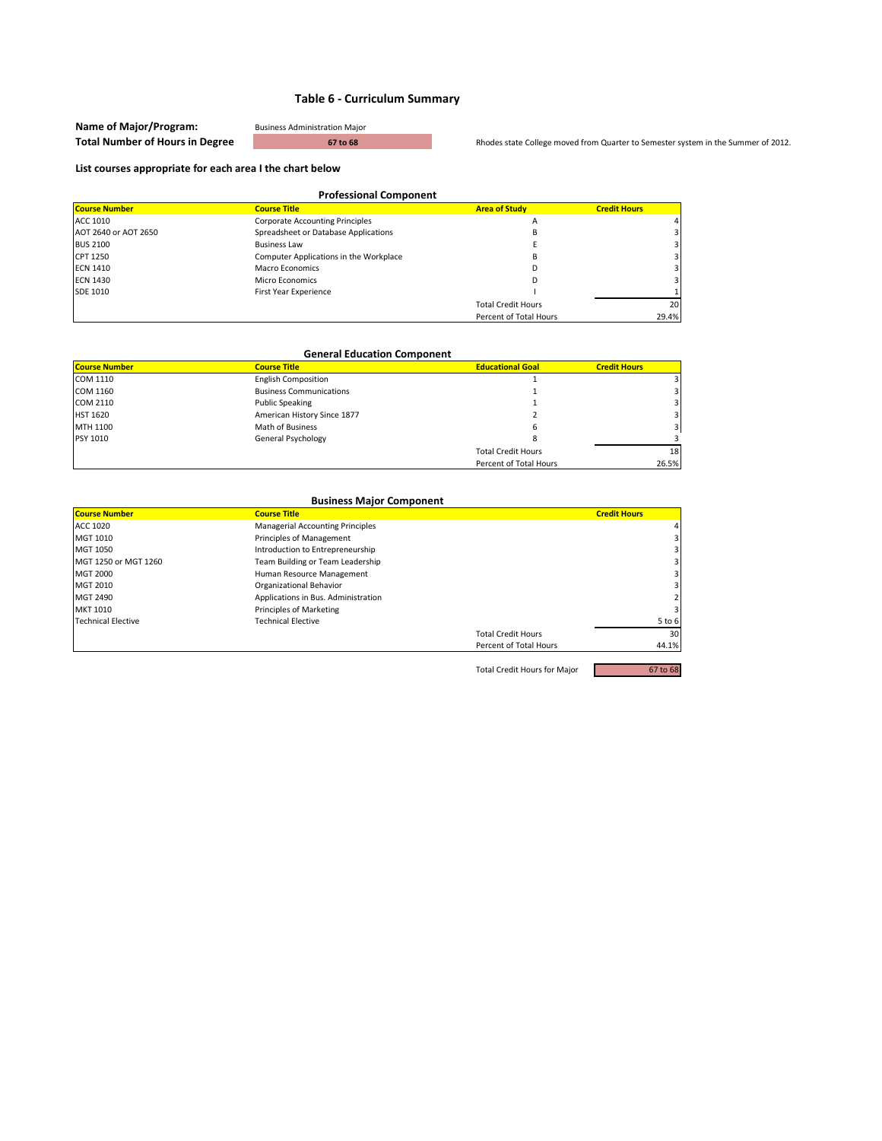| Name of Major/Program:                 | <b>Business Administration Major</b> |                                                                                   |
|----------------------------------------|--------------------------------------|-----------------------------------------------------------------------------------|
| <b>Total Number of Hours in Degree</b> | 67 to 68                             | Rhodes state College moved from Quarter to Semester system in the Summer of 2012. |

#### **List courses appropriate for each area I the chart below**

| <b>Professional Component</b> |                                        |                           |                     |
|-------------------------------|----------------------------------------|---------------------------|---------------------|
| <b>Course Number</b>          | <b>Course Title</b>                    | <b>Area of Study</b>      | <b>Credit Hours</b> |
| ACC 1010                      | <b>Corporate Accounting Principles</b> | А                         |                     |
| AOT 2640 or AOT 2650          | Spreadsheet or Database Applications   | B                         |                     |
| <b>BUS 2100</b>               | <b>Business Law</b>                    |                           |                     |
| CPT 1250                      | Computer Applications in the Workplace | в                         |                     |
| <b>ECN 1410</b>               | Macro Economics                        |                           |                     |
| <b>ECN 1430</b>               | Micro Economics                        |                           |                     |
| SDE 1010                      | First Year Experience                  |                           |                     |
|                               |                                        | <b>Total Credit Hours</b> | 20                  |
|                               |                                        | Percent of Total Hours    | 29.4%               |

| <b>General Education Component</b> |                                |                           |                     |  |
|------------------------------------|--------------------------------|---------------------------|---------------------|--|
| <b>Course Number</b>               | <b>Course Title</b>            | <b>Educational Goal</b>   | <b>Credit Hours</b> |  |
| COM 1110                           | <b>English Composition</b>     |                           |                     |  |
| COM 1160                           | <b>Business Communications</b> |                           |                     |  |
| COM 2110                           | <b>Public Speaking</b>         |                           |                     |  |
| <b>HST 1620</b>                    | American History Since 1877    |                           |                     |  |
| MTH 1100                           | Math of Business               | ь                         |                     |  |
| PSY 1010                           | General Psychology             |                           |                     |  |
|                                    |                                | <b>Total Credit Hours</b> | 18 <sub>1</sub>     |  |
|                                    |                                | Percent of Total Hours    | 26.5%               |  |

| <b>Business Major Component</b> |                                         |                           |                         |
|---------------------------------|-----------------------------------------|---------------------------|-------------------------|
| <b>Course Number</b>            | <b>Course Title</b>                     |                           | <b>Credit Hours</b>     |
| ACC 1020                        | <b>Managerial Accounting Principles</b> |                           | 4 <sup>1</sup>          |
| MGT 1010                        | Principles of Management                |                           | $\overline{\mathbf{3}}$ |
| MGT 1050                        | Introduction to Entrepreneurship        |                           | $\overline{3}$          |
| MGT 1250 or MGT 1260            | Team Building or Team Leadership        |                           | $\overline{\mathbf{3}}$ |
| <b>MGT 2000</b>                 | Human Resource Management               |                           | $\overline{3}$          |
| MGT 2010                        | Organizational Behavior                 |                           | $\overline{3}$          |
| MGT 2490                        | Applications in Bus. Administration     |                           |                         |
| MKT 1010                        | Principles of Marketing                 |                           | $\overline{\mathbf{3}}$ |
| <b>Technical Elective</b>       | <b>Technical Elective</b>               |                           | 5 to 6                  |
|                                 |                                         | <b>Total Credit Hours</b> | 30 <sup>1</sup>         |
|                                 |                                         | Percent of Total Hours    | 44.1%                   |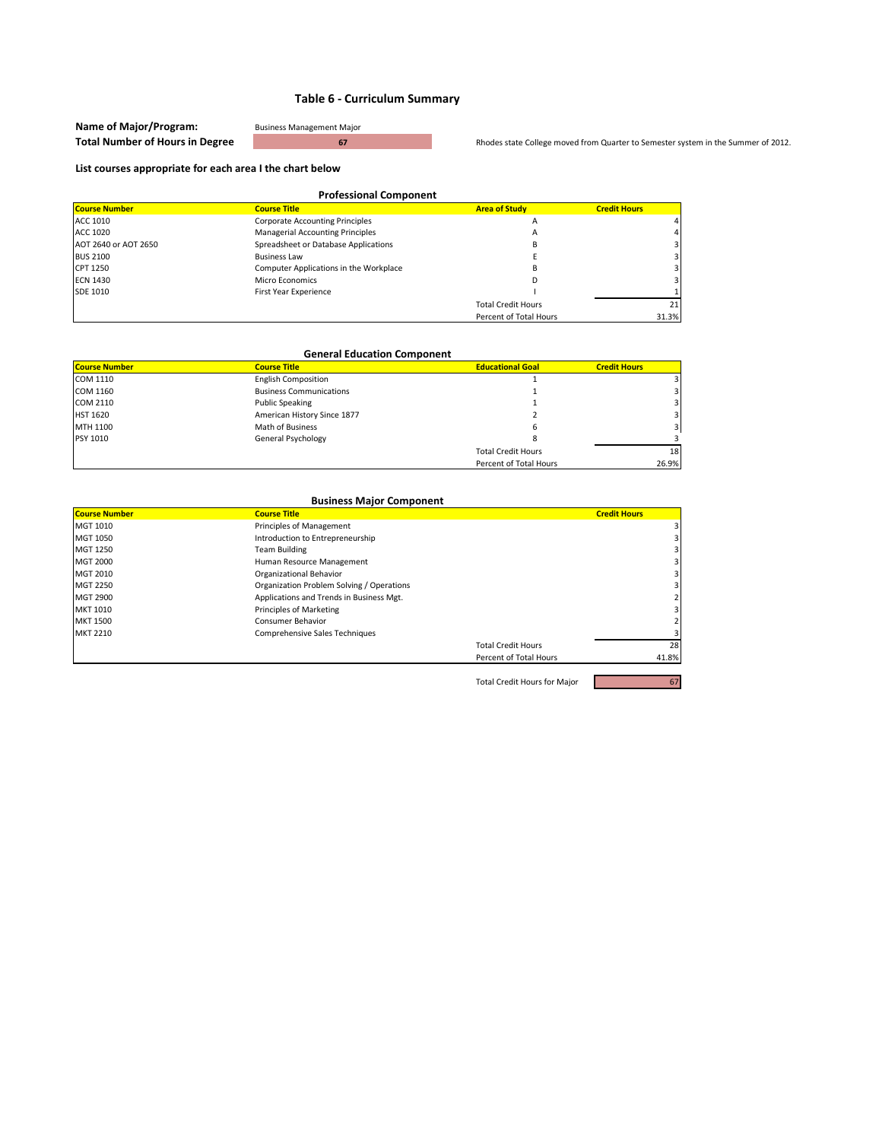| Name of Major/Program:                 | <b>Business Management Major</b> |                                                                                   |
|----------------------------------------|----------------------------------|-----------------------------------------------------------------------------------|
| <b>Total Number of Hours in Degree</b> |                                  | Rhodes state College moved from Quarter to Semester system in the Summer of 2012. |

#### **List courses appropriate for each area I the chart below**

| <b>Professional Component</b> |                                         |                           |                     |
|-------------------------------|-----------------------------------------|---------------------------|---------------------|
| <b>Course Number</b>          | <b>Course Title</b>                     | <b>Area of Study</b>      | <b>Credit Hours</b> |
| ACC 1010                      | <b>Corporate Accounting Principles</b>  | A                         | 4                   |
| ACC 1020                      | <b>Managerial Accounting Principles</b> | A                         | 4                   |
| AOT 2640 or AOT 2650          | Spreadsheet or Database Applications    | в                         | 3                   |
| <b>BUS 2100</b>               | <b>Business Law</b>                     |                           |                     |
| CPT 1250                      | Computer Applications in the Workplace  |                           |                     |
| <b>ECN 1430</b>               | Micro Economics                         |                           |                     |
| <b>SDE 1010</b>               | First Year Experience                   |                           |                     |
|                               |                                         | <b>Total Credit Hours</b> | 21                  |
|                               |                                         | Percent of Total Hours    | 31.3%               |

| <b>General Education Component</b>                                                            |                                |                           |                 |  |  |
|-----------------------------------------------------------------------------------------------|--------------------------------|---------------------------|-----------------|--|--|
| <b>Course Number</b><br><b>Educational Goal</b><br><b>Course Title</b><br><b>Credit Hours</b> |                                |                           |                 |  |  |
| COM 1110                                                                                      | <b>English Composition</b>     |                           |                 |  |  |
| COM 1160                                                                                      | <b>Business Communications</b> |                           |                 |  |  |
| COM 2110                                                                                      | <b>Public Speaking</b>         |                           |                 |  |  |
| <b>HST 1620</b>                                                                               | American History Since 1877    |                           |                 |  |  |
| MTH 1100                                                                                      | Math of Business               | h                         |                 |  |  |
| PSY 1010                                                                                      | General Psychology             |                           |                 |  |  |
|                                                                                               |                                | <b>Total Credit Hours</b> | 18 <sub>1</sub> |  |  |
|                                                                                               |                                | Percent of Total Hours    | 26.9%           |  |  |

| <b>Business Major Component</b> |                                           |                           |                     |
|---------------------------------|-------------------------------------------|---------------------------|---------------------|
| <b>Course Number</b>            | <b>Course Title</b>                       |                           | <b>Credit Hours</b> |
| MGT 1010                        | Principles of Management                  |                           |                     |
| MGT 1050                        | Introduction to Entrepreneurship          |                           |                     |
| MGT 1250                        | <b>Team Building</b>                      |                           |                     |
| <b>MGT 2000</b>                 | Human Resource Management                 |                           |                     |
| MGT 2010                        | Organizational Behavior                   |                           |                     |
| <b>MGT 2250</b>                 | Organization Problem Solving / Operations |                           |                     |
| <b>MGT 2900</b>                 | Applications and Trends in Business Mgt.  |                           |                     |
| MKT 1010                        | Principles of Marketing                   |                           |                     |
| <b>MKT 1500</b>                 | Consumer Behavior                         |                           |                     |
| <b>MKT 2210</b>                 | Comprehensive Sales Techniques            |                           |                     |
|                                 |                                           | <b>Total Credit Hours</b> | 28                  |
|                                 |                                           | Percent of Total Hours    | 41.8%               |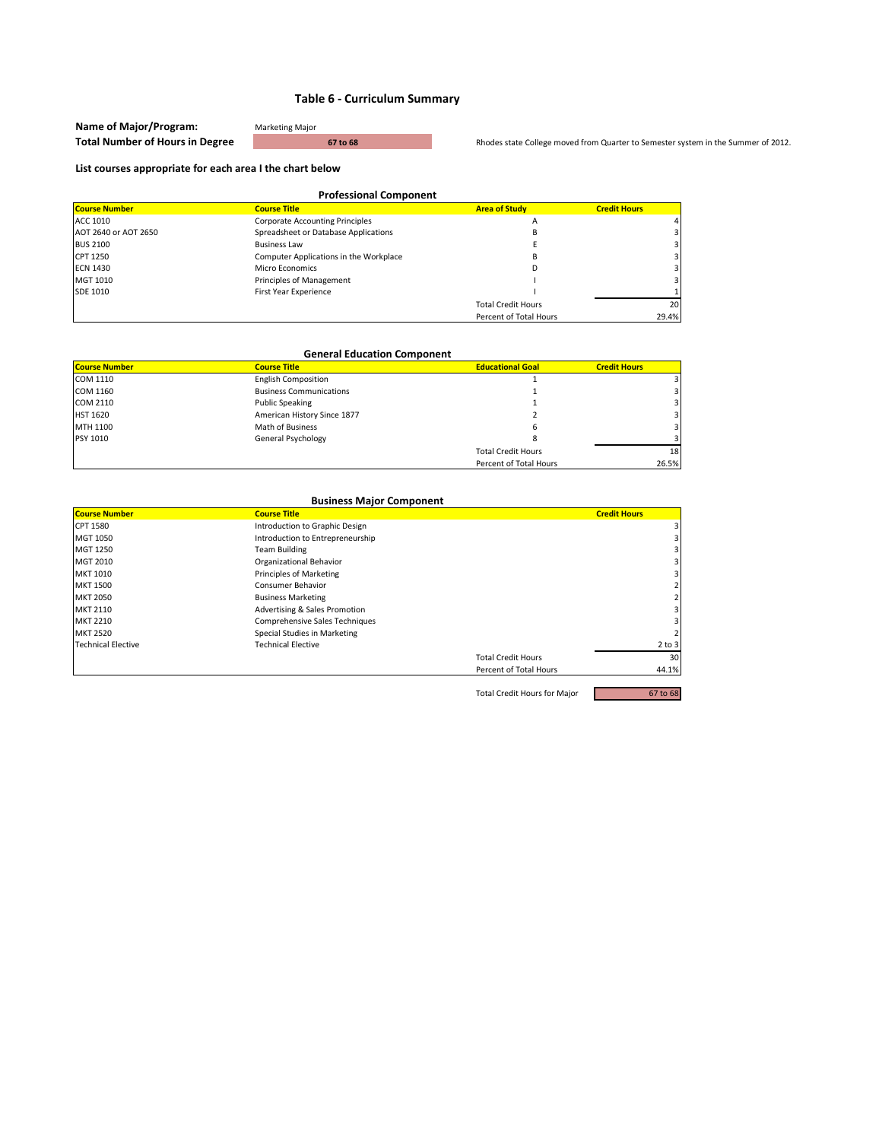| Name of Major/Program:                 | <b>Marketing Major</b> |
|----------------------------------------|------------------------|
| <b>Total Number of Hours in Degree</b> |                        |

**The Rhodes state College moved from Quarter to Semester system in the Summer of 2012.** 

#### **List courses appropriate for each area I the chart below**

| <b>Professional Component</b> |                                        |                           |                     |
|-------------------------------|----------------------------------------|---------------------------|---------------------|
| <b>Course Number</b>          | <b>Course Title</b>                    | <b>Area of Study</b>      | <b>Credit Hours</b> |
| ACC 1010                      | <b>Corporate Accounting Principles</b> | A                         |                     |
| AOT 2640 or AOT 2650          | Spreadsheet or Database Applications   | в                         |                     |
| <b>BUS 2100</b>               | <b>Business Law</b>                    |                           |                     |
| CPT 1250                      | Computer Applications in the Workplace | B                         |                     |
| <b>ECN 1430</b>               | Micro Economics                        | D                         |                     |
| MGT 1010                      | Principles of Management               |                           |                     |
| SDE 1010                      | First Year Experience                  |                           |                     |
|                               |                                        | <b>Total Credit Hours</b> | 20                  |
|                               |                                        | Percent of Total Hours    | 29.4%               |

| <b>General Education Component</b>                                                            |                                |                           |       |  |  |
|-----------------------------------------------------------------------------------------------|--------------------------------|---------------------------|-------|--|--|
| <b>Course Number</b><br><b>Educational Goal</b><br><b>Course Title</b><br><b>Credit Hours</b> |                                |                           |       |  |  |
| COM 1110                                                                                      | <b>English Composition</b>     |                           |       |  |  |
| COM 1160                                                                                      | <b>Business Communications</b> |                           |       |  |  |
| COM 2110                                                                                      | <b>Public Speaking</b>         |                           |       |  |  |
| <b>HST 1620</b>                                                                               | American History Since 1877    |                           |       |  |  |
| MTH 1100                                                                                      | Math of Business               | ь                         |       |  |  |
| PSY 1010                                                                                      | General Psychology             |                           |       |  |  |
|                                                                                               |                                | <b>Total Credit Hours</b> | 18    |  |  |
|                                                                                               |                                | Percent of Total Hours    | 26.5% |  |  |

| <b>Business Major Component</b> |                                  |                           |                         |
|---------------------------------|----------------------------------|---------------------------|-------------------------|
| <b>Course Number</b>            | <b>Course Title</b>              |                           | <b>Credit Hours</b>     |
| CPT 1580                        | Introduction to Graphic Design   |                           | $\overline{\mathsf{3}}$ |
| MGT 1050                        | Introduction to Entrepreneurship |                           | 3                       |
| MGT 1250                        | <b>Team Building</b>             |                           | 3                       |
| MGT 2010                        | Organizational Behavior          |                           | 31                      |
| MKT 1010                        | Principles of Marketing          |                           | 31                      |
| <b>MKT 1500</b>                 | Consumer Behavior                |                           | $\overline{2}$          |
| <b>MKT 2050</b>                 | <b>Business Marketing</b>        |                           | $\overline{2}$          |
| <b>MKT 2110</b>                 | Advertising & Sales Promotion    |                           | 31                      |
| <b>MKT 2210</b>                 | Comprehensive Sales Techniques   |                           | 3 I                     |
| <b>MKT 2520</b>                 | Special Studies in Marketing     |                           | $\overline{2}$          |
| <b>Technical Elective</b>       | <b>Technical Elective</b>        |                           | $2$ to $3$              |
|                                 |                                  | <b>Total Credit Hours</b> | 30                      |
|                                 |                                  | Percent of Total Hours    | 44.1%                   |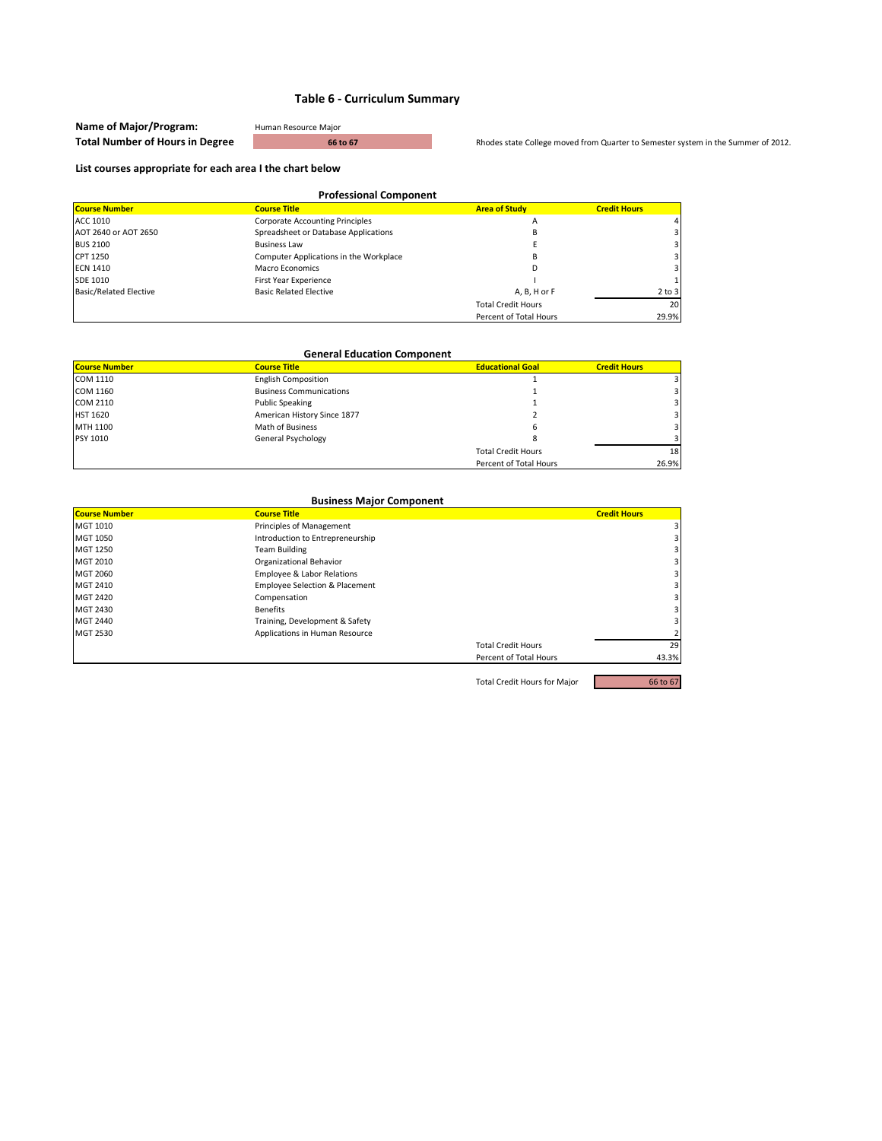| Name of Major/Program:                 | Human Resource Maior |                                                                                   |
|----------------------------------------|----------------------|-----------------------------------------------------------------------------------|
| <b>Total Number of Hours in Degree</b> | 66 to 67             | Rhodes state College moved from Quarter to Semester system in the Summer of 2012. |

#### **List courses appropriate for each area I the chart below**

| <b>Professional Component</b> |                                        |                           |                     |
|-------------------------------|----------------------------------------|---------------------------|---------------------|
| <b>Course Number</b>          | <b>Course Title</b>                    | <b>Area of Study</b>      | <b>Credit Hours</b> |
| ACC 1010                      | <b>Corporate Accounting Principles</b> | A                         |                     |
| AOT 2640 or AOT 2650          | Spreadsheet or Database Applications   | B                         |                     |
| <b>BUS 2100</b>               | <b>Business Law</b>                    |                           |                     |
| CPT 1250                      | Computer Applications in the Workplace | B                         |                     |
| <b>ECN 1410</b>               | Macro Economics                        | D                         |                     |
| <b>SDE 1010</b>               | First Year Experience                  |                           |                     |
| <b>Basic/Related Elective</b> | <b>Basic Related Elective</b>          | A, B, H or F              | $2$ to $3$          |
|                               |                                        | <b>Total Credit Hours</b> | 20                  |
|                               |                                        | Percent of Total Hours    | 29.9%               |

| <b>General Education Component</b>                                                            |                                |                           |       |  |  |
|-----------------------------------------------------------------------------------------------|--------------------------------|---------------------------|-------|--|--|
| <b>Course Number</b><br><b>Course Title</b><br><b>Educational Goal</b><br><b>Credit Hours</b> |                                |                           |       |  |  |
| COM 1110                                                                                      | <b>English Composition</b>     |                           |       |  |  |
| COM 1160                                                                                      | <b>Business Communications</b> |                           |       |  |  |
| COM 2110                                                                                      | <b>Public Speaking</b>         |                           |       |  |  |
| <b>HST 1620</b>                                                                               | American History Since 1877    |                           |       |  |  |
| MTH 1100                                                                                      | Math of Business               | h                         |       |  |  |
| <b>PSY 1010</b>                                                                               | General Psychology             |                           |       |  |  |
|                                                                                               |                                | <b>Total Credit Hours</b> | 18    |  |  |
|                                                                                               |                                | Percent of Total Hours    | 26.9% |  |  |

| <b>Business Major Component</b> |                                           |                           |                     |
|---------------------------------|-------------------------------------------|---------------------------|---------------------|
| <b>Course Number</b>            | <b>Course Title</b>                       |                           | <b>Credit Hours</b> |
| MGT 1010                        | Principles of Management                  |                           |                     |
| MGT 1050                        | Introduction to Entrepreneurship          |                           |                     |
| MGT 1250                        | <b>Team Building</b>                      |                           |                     |
| MGT 2010                        | Organizational Behavior                   |                           |                     |
| MGT 2060                        | <b>Employee &amp; Labor Relations</b>     |                           |                     |
| MGT 2410                        | <b>Employee Selection &amp; Placement</b> |                           |                     |
| <b>MGT 2420</b>                 | Compensation                              |                           |                     |
| MGT 2430                        | <b>Benefits</b>                           |                           |                     |
| <b>MGT 2440</b>                 | Training, Development & Safety            |                           |                     |
| MGT 2530                        | Applications in Human Resource            |                           |                     |
|                                 |                                           | <b>Total Credit Hours</b> | 29                  |
|                                 |                                           | Percent of Total Hours    | 43.3%               |